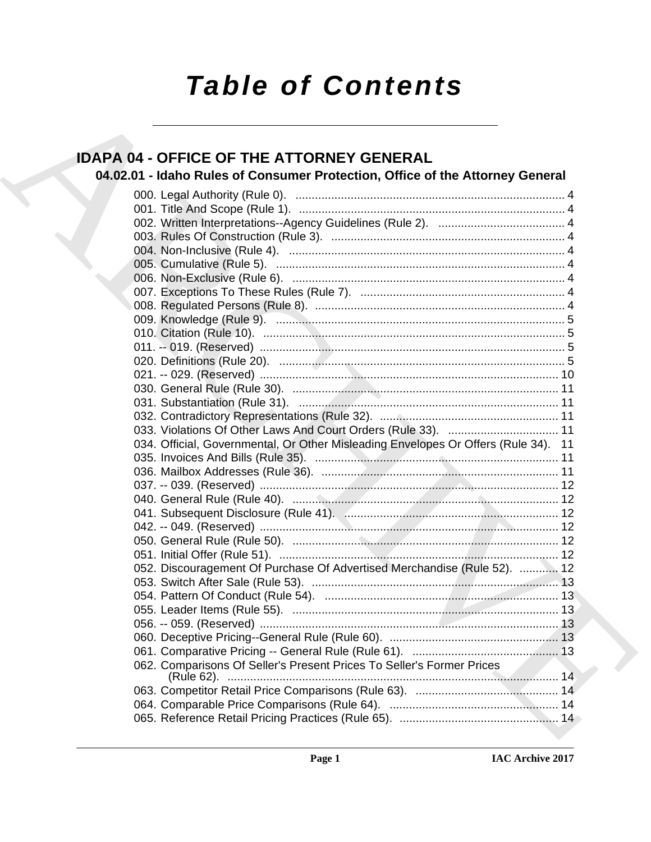# *Table of Contents*

# **IDAPA 04 - OFFICE OF THE ATTORNEY GENERAL**

# **04.02.01 - Idaho Rules of Consumer Protection, Office of the Attorney General**

| <b>IDAPA 04 - OFFICE OF THE ATTORNEY GENERAL</b><br>04.02.01 - Idaho Rules of Consumer Protection, Office of the Attorney General |
|-----------------------------------------------------------------------------------------------------------------------------------|
|                                                                                                                                   |
|                                                                                                                                   |
|                                                                                                                                   |
|                                                                                                                                   |
|                                                                                                                                   |
|                                                                                                                                   |
|                                                                                                                                   |
|                                                                                                                                   |
|                                                                                                                                   |
|                                                                                                                                   |
|                                                                                                                                   |
|                                                                                                                                   |
|                                                                                                                                   |
|                                                                                                                                   |
|                                                                                                                                   |
|                                                                                                                                   |
|                                                                                                                                   |
|                                                                                                                                   |
|                                                                                                                                   |
| 034. Official, Governmental, Or Other Misleading Envelopes Or Offers (Rule 34). 11                                                |
|                                                                                                                                   |
|                                                                                                                                   |
|                                                                                                                                   |
|                                                                                                                                   |
|                                                                                                                                   |
|                                                                                                                                   |
|                                                                                                                                   |
|                                                                                                                                   |
| 052. Discouragement Of Purchase Of Advertised Merchandise (Rule 52).  12                                                          |
|                                                                                                                                   |
|                                                                                                                                   |
|                                                                                                                                   |
|                                                                                                                                   |
|                                                                                                                                   |
|                                                                                                                                   |
| 062. Comparisons Of Seller's Present Prices To Seller's Former Prices                                                             |
|                                                                                                                                   |
|                                                                                                                                   |
|                                                                                                                                   |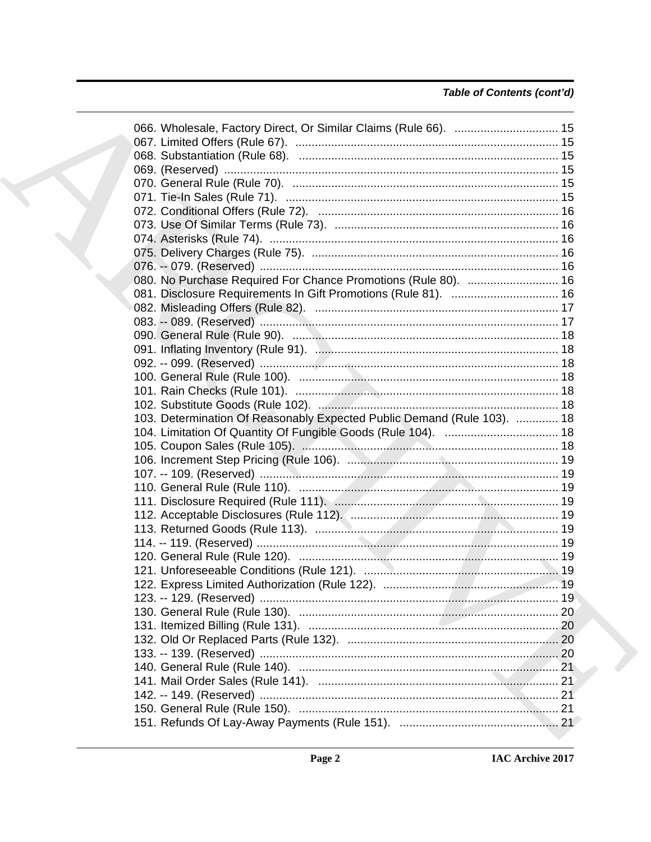# Table of Contents (cont'd)

|  | 080. No Purchase Required For Chance Promotions (Rule 80).  16          |  |
|--|-------------------------------------------------------------------------|--|
|  | 081. Disclosure Requirements In Gift Promotions (Rule 81).  16          |  |
|  |                                                                         |  |
|  |                                                                         |  |
|  |                                                                         |  |
|  |                                                                         |  |
|  |                                                                         |  |
|  |                                                                         |  |
|  |                                                                         |  |
|  | 103. Determination Of Reasonably Expected Public Demand (Rule 103).  18 |  |
|  |                                                                         |  |
|  |                                                                         |  |
|  |                                                                         |  |
|  |                                                                         |  |
|  |                                                                         |  |
|  |                                                                         |  |
|  |                                                                         |  |
|  |                                                                         |  |
|  |                                                                         |  |
|  |                                                                         |  |
|  |                                                                         |  |
|  |                                                                         |  |
|  |                                                                         |  |
|  |                                                                         |  |
|  |                                                                         |  |
|  |                                                                         |  |
|  |                                                                         |  |
|  |                                                                         |  |
|  |                                                                         |  |
|  |                                                                         |  |
|  |                                                                         |  |
|  |                                                                         |  |
|  |                                                                         |  |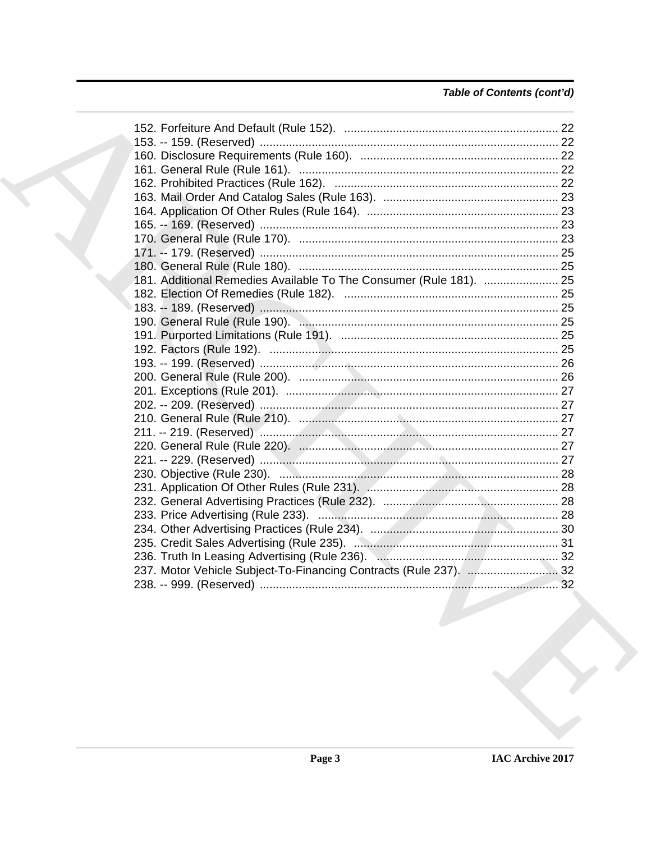# Table of Contents (cont'd)

|  | 181. Additional Remedies Available To The Consumer (Rule 181).  25 |  |
|--|--------------------------------------------------------------------|--|
|  |                                                                    |  |
|  |                                                                    |  |
|  |                                                                    |  |
|  |                                                                    |  |
|  |                                                                    |  |
|  |                                                                    |  |
|  |                                                                    |  |
|  |                                                                    |  |
|  |                                                                    |  |
|  |                                                                    |  |
|  |                                                                    |  |
|  |                                                                    |  |
|  |                                                                    |  |
|  |                                                                    |  |
|  |                                                                    |  |
|  |                                                                    |  |
|  |                                                                    |  |
|  |                                                                    |  |
|  |                                                                    |  |
|  |                                                                    |  |
|  | 237. Motor Vehicle Subject-To-Financing Contracts (Rule 237).  32  |  |
|  |                                                                    |  |
|  |                                                                    |  |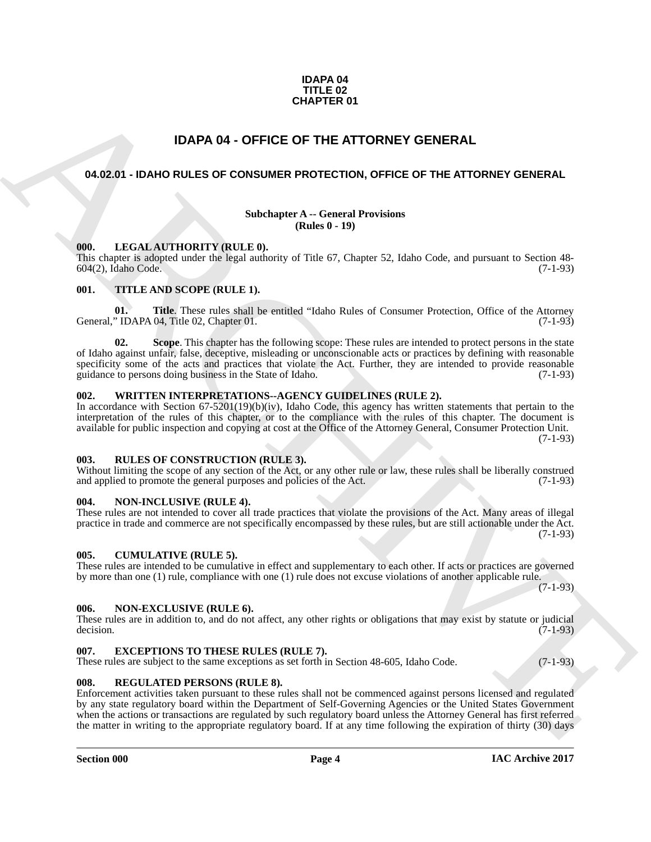#### **IDAPA 04 TITLE 02 CHAPTER 01**

# **IDAPA 04 - OFFICE OF THE ATTORNEY GENERAL**

#### <span id="page-3-1"></span><span id="page-3-0"></span>**04.02.01 - IDAHO RULES OF CONSUMER PROTECTION, OFFICE OF THE ATTORNEY GENERAL**

#### **Subchapter A -- General Provisions (Rules 0 - 19)**

#### <span id="page-3-2"></span>**000. LEGAL AUTHORITY (RULE 0).**

This chapter is adopted under the legal authority of Title 67, Chapter 52, Idaho Code, and pursuant to Section 48- 604(2), Idaho Code. (7-1-93)

#### <span id="page-3-3"></span>**001. TITLE AND SCOPE (RULE 1).**

**01. Title**. These rules shall be entitled "Idaho Rules of Consumer Protection, Office of the Attorney "IDAPA 04, Title 02, Chapter 01. (7-1-93) General," IDAPA 04, Title 02, Chapter 01.

**CHAPTER 01**<br> **CHAPTER 01**<br> **CARCHIVE SCHAPER CONSUMER PROTECTION, GPFICE OF THE ATTORNEY GENERAL<br>
<b>CARCHIVE SCHAPER CONSUMER PROTECTION, GPFICE OF THE ATTORNEY GENERAL**<br>
Sharehold RULES OF CONSUMER PROTECTION, GPFICE OF **02. Scope**. This chapter has the following scope: These rules are intended to protect persons in the state of Idaho against unfair, false, deceptive, misleading or unconscionable acts or practices by defining with reasonable specificity some of the acts and practices that violate the Act. Further, they are intended to provide reasonable guidance to persons doing business in the State of Idaho. (7-1-93)

#### <span id="page-3-4"></span>**002. WRITTEN INTERPRETATIONS--AGENCY GUIDELINES (RULE 2).**

In accordance with Section 67-5201(19)(b)(iv), Idaho Code, this agency has written statements that pertain to the interpretation of the rules of this chapter, or to the compliance with the rules of this chapter. The document is available for public inspection and copying at cost at the Office of the Attorney General, Consumer Protection Unit. (7-1-93)

#### <span id="page-3-12"></span><span id="page-3-5"></span>**003. RULES OF CONSTRUCTION (RULE 3).**

Without limiting the scope of any section of the Act, or any other rule or law, these rules shall be liberally construed and applied to promote the general purposes and policies of the Act. (7-1-93) and applied to promote the general purposes and policies of the Act.

#### <span id="page-3-6"></span>**004. NON-INCLUSIVE (RULE 4).**

#### These rules are not intended to cover all trade practices that violate the provisions of the Act. Many areas of illegal practice in trade and commerce are not specifically encompassed by these rules, but are still actionable under the Act. (7-1-93)

#### <span id="page-3-7"></span>**005. CUMULATIVE (RULE 5).**

These rules are intended to be cumulative in effect and supplementary to each other. If acts or practices are governed by more than one (1) rule, compliance with one (1) rule does not excuse violations of another applicable rule.

# $(7-1-93)$

#### <span id="page-3-8"></span>**006. NON-EXCLUSIVE (RULE 6).**

These rules are in addition to, and do not affect, any other rights or obligations that may exist by statute or judicial decision. (7-1-93) decision.  $(7-1-93)$ 

#### <span id="page-3-9"></span>**007. EXCEPTIONS TO THESE RULES (RULE 7).**

These rules are subject to the same exceptions as set forth in Section 48-605, Idaho Code. (7-1-93)

#### <span id="page-3-11"></span><span id="page-3-10"></span>**008. REGULATED PERSONS (RULE 8).**

Enforcement activities taken pursuant to these rules shall not be commenced against persons licensed and regulated by any state regulatory board within the Department of Self-Governing Agencies or the United States Government when the actions or transactions are regulated by such regulatory board unless the Attorney General has first referred the matter in writing to the appropriate regulatory board. If at any time following the expiration of thirty (30) days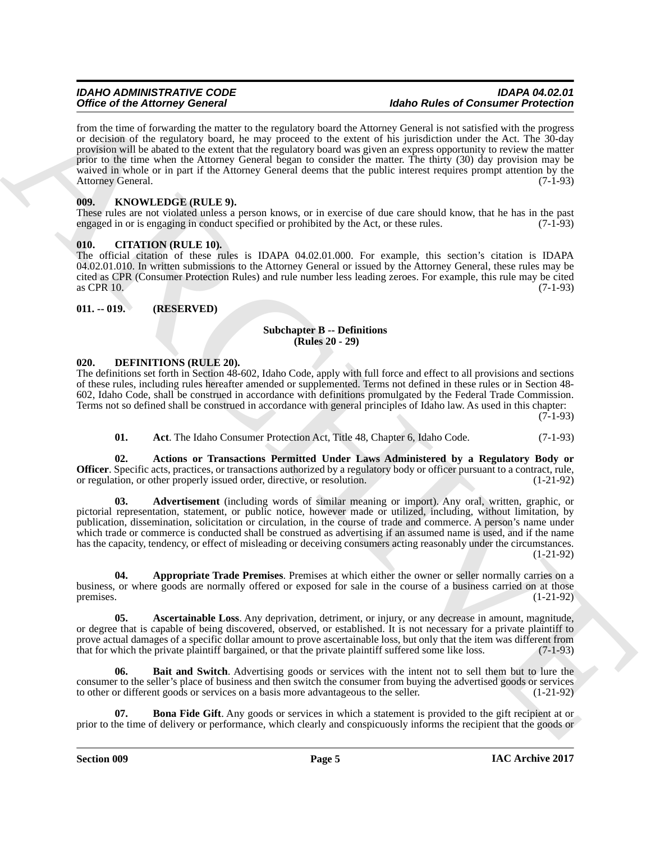Office of the Alexander General entropy in the space of the Balka Balca Balca Balca Balca Balca Balca Balca Balca Balca Balca Balca Balca Balca Balca Balca Balca Balca Balca Balca Balca Balca Balca Balca Balca Balca Balca from the time of forwarding the matter to the regulatory board the Attorney General is not satisfied with the progress or decision of the regulatory board, he may proceed to the extent of his jurisdiction under the Act. The 30-day provision will be abated to the extent that the regulatory board was given an express opportunity to review the matter prior to the time when the Attorney General began to consider the matter. The thirty (30) day provision may be waived in whole or in part if the Attorney General deems that the public interest requires prompt attention by the Attorney General. (7-1-93)

#### <span id="page-4-11"></span><span id="page-4-0"></span>**009. KNOWLEDGE (RULE 9).**

These rules are not violated unless a person knows, or in exercise of due care should know, that he has in the past engaged in or is engaging in conduct specified or prohibited by the Act, or these rules. (7-1-93)

#### <span id="page-4-1"></span>**010. CITATION (RULE 10).**

The official citation of these rules is IDAPA 04.02.01.000. For example, this section's citation is IDAPA 04.02.01.010. In written submissions to the Attorney General or issued by the Attorney General, these rules may be cited as CPR (Consumer Protection Rules) and rule number less leading zeroes. For example, this rule may be cited  $\alpha$  as CPR 10. (7-1-93)

#### <span id="page-4-2"></span>**011. -- 019. (RESERVED)**

#### **Subchapter B -- Definitions (Rules 20 - 29)**

#### <span id="page-4-3"></span>**020. DEFINITIONS (RULE 20).**

The definitions set forth in Section 48-602, Idaho Code, apply with full force and effect to all provisions and sections of these rules, including rules hereafter amended or supplemented. Terms not defined in these rules or in Section 48- 602, Idaho Code, shall be construed in accordance with definitions promulgated by the Federal Trade Commission. Terms not so defined shall be construed in accordance with general principles of Idaho law. As used in this chapter:

 $(7-1-93)$ 

<span id="page-4-6"></span><span id="page-4-5"></span><span id="page-4-4"></span>**01.** Act. The Idaho Consumer Protection Act, Title 48, Chapter 6, Idaho Code. (7-1-93)

**02. Actions or Transactions Permitted Under Laws Administered by a Regulatory Body or Officer**. Specific acts, practices, or transactions authorized by a regulatory body or officer pursuant to a contract, rule, or regulation, or other properly issued order, directive, or resolution. (1-21-92) or regulation, or other properly issued order, directive, or resolution.

**03. Advertisement** (including words of similar meaning or import). Any oral, written, graphic, or pictorial representation, statement, or public notice, however made or utilized, including, without limitation, by publication, dissemination, solicitation or circulation, in the course of trade and commerce. A person's name under which trade or commerce is conducted shall be construed as advertising if an assumed name is used, and if the name has the capacity, tendency, or effect of misleading or deceiving consumers acting reasonably under the circumstances. (1-21-92)

<span id="page-4-7"></span>**04. Appropriate Trade Premises**. Premises at which either the owner or seller normally carries on a business, or where goods are normally offered or exposed for sale in the course of a business carried on at those premises.  $(1-21-92)$ 

<span id="page-4-8"></span>**05. Ascertainable Loss**. Any deprivation, detriment, or injury, or any decrease in amount, magnitude, or degree that is capable of being discovered, observed, or established. It is not necessary for a private plaintiff to prove actual damages of a specific dollar amount to prove ascertainable loss, but only that the item was different from that for which the private plaintiff bargained, or that the private plaintiff suffered some like loss. (7-1-93)

<span id="page-4-9"></span>**06. Bait and Switch**. Advertising goods or services with the intent not to sell them but to lure the consumer to the seller's place of business and then switch the consumer from buying the advertised goods or services to other or different goods or services on a basis more advantageous to the seller. (1-21-92)

<span id="page-4-10"></span>**07. Bona Fide Gift**. Any goods or services in which a statement is provided to the gift recipient at or prior to the time of delivery or performance, which clearly and conspicuously informs the recipient that the goods or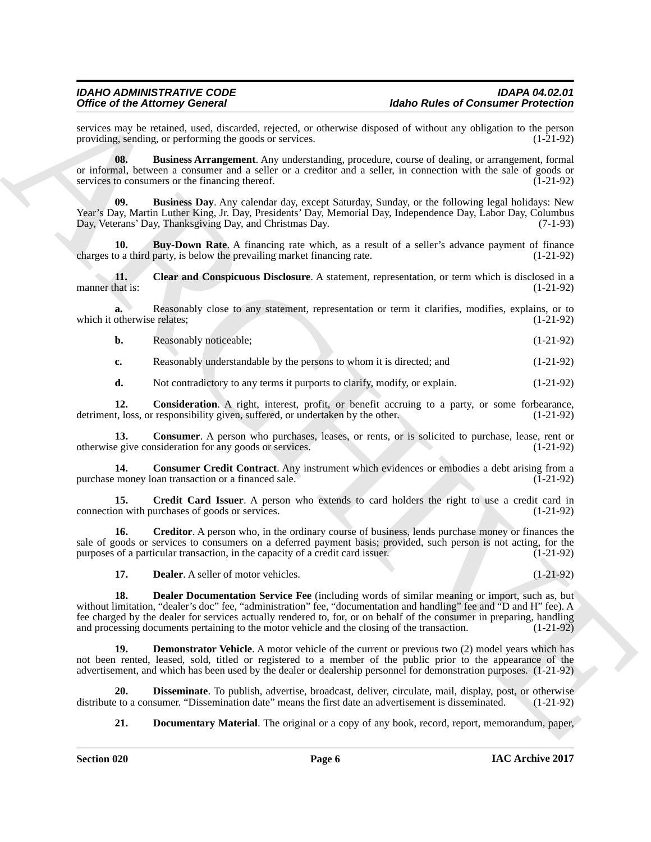services may be retained, used, discarded, rejected, or otherwise disposed of without any obligation to the person providing, sending, or performing the goods or services. providing, sending, or performing the goods or services.

<span id="page-5-0"></span>**08. Business Arrangement**. Any understanding, procedure, course of dealing, or arrangement, formal or informal, between a consumer and a seller or a creditor and a seller, in connection with the sale of goods or services to consumers or the financing thereof. (1-21-92) services to consumers or the financing thereof.

<span id="page-5-1"></span>**09. Business Day**. Any calendar day, except Saturday, Sunday, or the following legal holidays: New Year's Day, Martin Luther King, Jr. Day, Presidents' Day, Memorial Day, Independence Day, Labor Day, Columbus Day, Veterans' Day, Thanksgiving Day, and Christmas Day. (7-1-93)

<span id="page-5-2"></span>**10. Buy-Down Rate**. A financing rate which, as a result of a seller's advance payment of finance o a third party, is below the prevailing market financing rate. (1-21-92) charges to a third party, is below the prevailing market financing rate.

<span id="page-5-3"></span>**11. Clear and Conspicuous Disclosure**. A statement, representation, or term which is disclosed in a hat is: (1-21-92) manner that is:

**a.** Reasonably close to any statement, representation or term it clarifies, modifies, explains, or to which it otherwise relates; (1-21-92)

**b.** Reasonably noticeable; (1-21-92)

**c.** Reasonably understandable by the persons to whom it is directed; and (1-21-92)

<span id="page-5-5"></span><span id="page-5-4"></span>**d.** Not contradictory to any terms it purports to clarify, modify, or explain.  $(1-21-92)$ 

**12. Consideration**. A right, interest, profit, or benefit accruing to a party, or some forbearance, t, loss, or responsibility given, suffered, or undertaken by the other. (1-21-92) detriment, loss, or responsibility given, suffered, or undertaken by the other.

**13. Consumer**. A person who purchases, leases, or rents, or is solicited to purchase, lease, rent or otherwise give consideration for any goods or services. (1-21-92)

<span id="page-5-6"></span>**14. Consumer Credit Contract**. Any instrument which evidences or embodies a debt arising from a purchase money loan transaction or a financed sale. (1-21-92)

<span id="page-5-7"></span>**15. Credit Card Issuer**. A person who extends to card holders the right to use a credit card in connection with purchases of goods or services. (1-21-92)

**16. Creditor**. A person who, in the ordinary course of business, lends purchase money or finances the sale of goods or services to consumers on a deferred payment basis; provided, such person is not acting, for the purposes of a particular transaction, in the capacity of a credit card issuer. (1-21-92)

<span id="page-5-11"></span><span id="page-5-10"></span><span id="page-5-9"></span><span id="page-5-8"></span>**17. Dealer**. A seller of motor vehicles. (1-21-92)

Office of the Altonsoy Concert is the specific priorite of the RCHIVES of Consumer Principles<br>
and the specific priority of the specific priority of the specific priority of the specific priority of the specific priority 18. Dealer Documentation Service Fee (including words of similar meaning or import, such as, but without limitation, "dealer's doc" fee, "administration" fee, "documentation and handling" fee and "D and H" fee). A fee charged by the dealer for services actually rendered to, for, or on behalf of the consumer in preparing, handling and processing documents pertaining to the motor vehicle and the closing of the transaction. (1-21-92)

**Demonstrator Vehicle**. A motor vehicle of the current or previous two (2) model years which has not been rented, leased, sold, titled or registered to a member of the public prior to the appearance of the advertisement, and which has been used by the dealer or dealership personnel for demonstration purposes. (1-21-92)

**20. Disseminate**. To publish, advertise, broadcast, deliver, circulate, mail, display, post, or otherwise to a consumer. "Dissemination date" means the first date an advertisement is disseminated. (1-21-92) distribute to a consumer. "Dissemination date" means the first date an advertisement is disseminated.

<span id="page-5-13"></span><span id="page-5-12"></span>**21. Documentary Material**. The original or a copy of any book, record, report, memorandum, paper,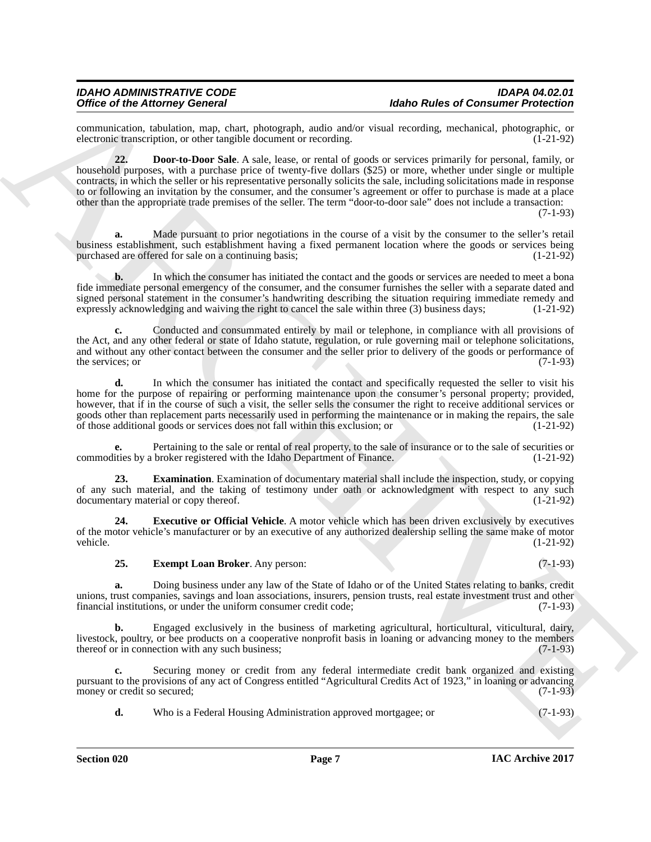<span id="page-6-0"></span>communication, tabulation, map, chart, photograph, audio and/or visual recording, mechanical, photographic, or electronic transcription, or other tangible document or recording.

One can be determined as any detailed as the same state and so the same of the same of the same of the same of the same state and the same state and the same of the same of the same state and the same state and the same s **22. Door-to-Door Sale**. A sale, lease, or rental of goods or services primarily for personal, family, or household purposes, with a purchase price of twenty-five dollars (\$25) or more, whether under single or multiple contracts, in which the seller or his representative personally solicits the sale, including solicitations made in response to or following an invitation by the consumer, and the consumer's agreement or offer to purchase is made at a place other than the appropriate trade premises of the seller. The term "door-to-door sale" does not include a transaction:

(7-1-93)

**a.** Made pursuant to prior negotiations in the course of a visit by the consumer to the seller's retail business establishment, such establishment having a fixed permanent location where the goods or services being purchased are offered for sale on a continuing basis;

**b.** In which the consumer has initiated the contact and the goods or services are needed to meet a bona fide immediate personal emergency of the consumer, and the consumer furnishes the seller with a separate dated and signed personal statement in the consumer's handwriting describing the situation requiring immediate remedy and expressly acknowledging and waiving the right to cancel the sale within three (3) business days; (1-21-92) expressly acknowledging and waiving the right to cancel the sale within three (3) business days;

**c.** Conducted and consummated entirely by mail or telephone, in compliance with all provisions of the Act, and any other federal or state of Idaho statute, regulation, or rule governing mail or telephone solicitations, and without any other contact between the consumer and the seller prior to delivery of the goods or performance of the services; or  $(7-1-93)$ the services; or

**d.** In which the consumer has initiated the contact and specifically requested the seller to visit his home for the purpose of repairing or performing maintenance upon the consumer's personal property; provided, however, that if in the course of such a visit, the seller sells the consumer the right to receive additional services or goods other than replacement parts necessarily used in performing the maintenance or in making the repairs, the sale of those additional goods or services does not fall within this exclusion; or (1-21-92)

**e.** Pertaining to the sale or rental of real property, to the sale of insurance or to the sale of securities or ities by a broker registered with the Idaho Department of Finance. (1-21-92) commodities by a broker registered with the Idaho Department of Finance.

<span id="page-6-1"></span>**23. Examination**. Examination of documentary material shall include the inspection, study, or copying of any such material, and the taking of testimony under oath or acknowledgment with respect to any such documentary material or copy thereof. (1-21-92) documentary material or copy thereof.

**24. Executive or Official Vehicle**. A motor vehicle which has been driven exclusively by executives of the motor vehicle's manufacturer or by an executive of any authorized dealership selling the same make of motor vehicle. (1-21-92) vehicle. (1-21-92)

#### <span id="page-6-3"></span><span id="page-6-2"></span>**25. Exempt Loan Broker**. Any person: (7-1-93)

**a.** Doing business under any law of the State of Idaho or of the United States relating to banks, credit unions, trust companies, savings and loan associations, insurers, pension trusts, real estate investment trust and other financial institutions, or under the uniform consumer credit code; (7-1-93) financial institutions, or under the uniform consumer credit code;

**b.** Engaged exclusively in the business of marketing agricultural, horticultural, viticultural, dairy, livestock, poultry, or bee products on a cooperative nonprofit basis in loaning or advancing money to the members thereof or in connection with any such business; (7-1-93) thereof or in connection with any such business;

**c.** Securing money or credit from any federal intermediate credit bank organized and existing pursuant to the provisions of any act of Congress entitled "Agricultural Credits Act of 1923," in loaning or advancing money or credit so secured;

**d.** Who is a Federal Housing Administration approved mortgagee; or (7-1-93)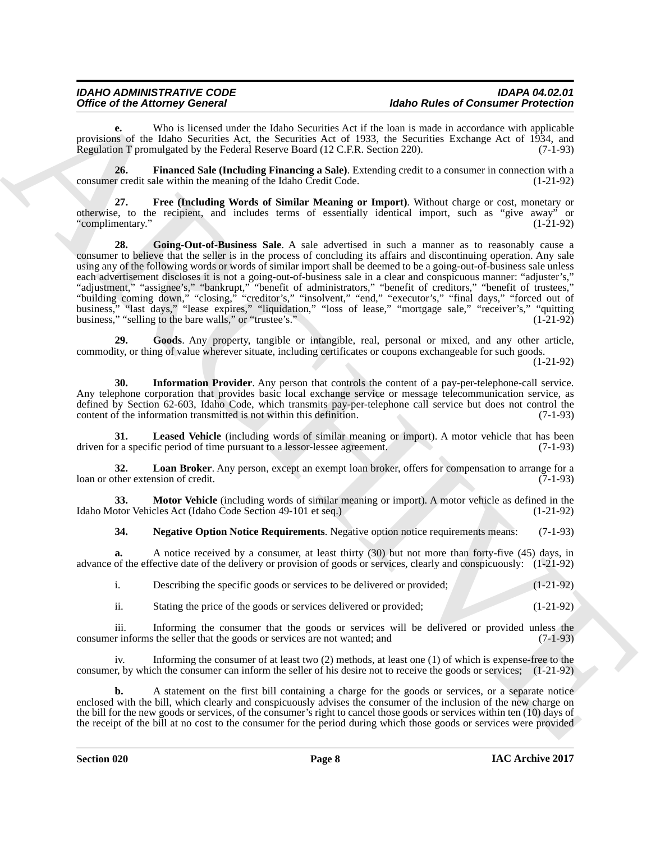# *IDAHO ADMINISTRATIVE CODE IDAPA 04.02.01* **Idaho Rules of Consumer Protection**

**e.** Who is licensed under the Idaho Securities Act if the loan is made in accordance with applicable provisions of the Idaho Securities Act, the Securities Act of 1933, the Securities Exchange Act of 1934, and Regulation T promulgated by the Federal Reserve Board (12 C.F.R. Section 220). (7-1-93) Regulation T promulgated by the Federal Reserve Board (12 C.F.R. Section 220).

<span id="page-7-0"></span>**26. Financed Sale (Including Financing a Sale)**. Extending credit to a consumer in connection with a consumer credit sale within the meaning of the Idaho Credit Code. (1-21-92)

<span id="page-7-2"></span><span id="page-7-1"></span>**27. Free (Including Words of Similar Meaning or Import)**. Without charge or cost, monetary or otherwise, to the recipient, and includes terms of essentially identical import, such as "give away" or "complimentary." (1-21-92)

Office of the Attorney Concert is a basis System And It has Research And The Research Protections of the United System And It has a first solid product of the United System And It is a first solid product of the United Sy **28. Going-Out-of-Business Sale**. A sale advertised in such a manner as to reasonably cause a consumer to believe that the seller is in the process of concluding its affairs and discontinuing operation. Any sale using any of the following words or words of similar import shall be deemed to be a going-out-of-business sale unless each advertisement discloses it is not a going-out-of-business sale in a clear and conspicuous manner: "adjuster's," "adjustment," "assignee's," "bankrupt," "benefit of administrators," "benefit of creditors," "benefit of trustees," "building coming down," "closing," "creditor's," "insolvent," "end," "executor's," "final days," "forced out of business," "last days," "lease expires," "liquidation," "loss of lease," "mortgage sale," "receiver's," "quitting business," "selling to the bare walls," or "trustee's." (1-21-92)

<span id="page-7-3"></span>**29. Goods**. Any property, tangible or intangible, real, personal or mixed, and any other article, commodity, or thing of value wherever situate, including certificates or coupons exchangeable for such goods. (1-21-92)

<span id="page-7-4"></span>**30. Information Provider**. Any person that controls the content of a pay-per-telephone-call service. Any telephone corporation that provides basic local exchange service or message telecommunication service, as defined by Section 62-603, Idaho Code, which transmits pay-per-telephone call service but does not control the content of the information transmitted is not within this definition. (7-1-93) content of the information transmitted is not within this definition.

<span id="page-7-5"></span>**31.** Leased Vehicle (including words of similar meaning or import). A motor vehicle that has been r a specific period of time pursuant to a lessor-lessee agreement. (7-1-93) driven for a specific period of time pursuant to a lessor-lessee agreement.

<span id="page-7-6"></span>**32. Loan Broker**. Any person, except an exempt loan broker, offers for compensation to arrange for a loan or other extension of credit. (7-1-93)

**33. Motor Vehicle** (including words of similar meaning or import). A motor vehicle as defined in the Idaho Motor Vehicles Act (Idaho Code Section 49-101 et seq.) (1-21-92)

<span id="page-7-8"></span><span id="page-7-7"></span>**34. Negative Option Notice Requirements**. Negative option notice requirements means: (7-1-93)

**a.** A notice received by a consumer, at least thirty (30) but not more than forty-five (45) days, in advance of the effective date of the delivery or provision of goods or services, clearly and conspicuously: (1-21-92)

i. Describing the specific goods or services to be delivered or provided; (1-21-92)

ii. Stating the price of the goods or services delivered or provided; (1-21-92)

iii. Informing the consumer that the goods or services will be delivered or provided unless the r informs the seller that the goods or services are not wanted; and (7-1-93) consumer informs the seller that the goods or services are not wanted; and

iv. Informing the consumer of at least two (2) methods, at least one (1) of which is expense-free to the consumer, by which the consumer can inform the seller of his desire not to receive the goods or services; (1-21-92)

**b.** A statement on the first bill containing a charge for the goods or services, or a separate notice enclosed with the bill, which clearly and conspicuously advises the consumer of the inclusion of the new charge on the bill for the new goods or services, of the consumer's right to cancel those goods or services within ten (10) days of the receipt of the bill at no cost to the consumer for the period during which those goods or services were provided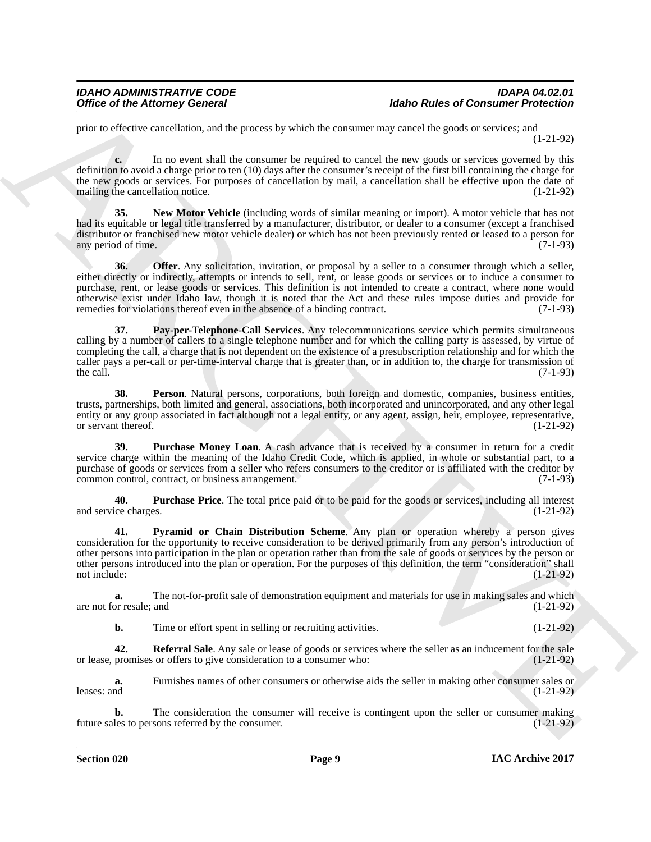prior to effective cancellation, and the process by which the consumer may cancel the goods or services; and (1-21-92)

**c.** In no event shall the consumer be required to cancel the new goods or services governed by this definition to avoid a charge prior to ten (10) days after the consumer's receipt of the first bill containing the charge for the new goods or services. For purposes of cancellation by mail, a cancellation shall be effective upon the date of mailing the cancellation notice. (1-21-92) mailing the cancellation notice.

<span id="page-8-1"></span><span id="page-8-0"></span>**35. New Motor Vehicle** (including words of similar meaning or import). A motor vehicle that has not had its equitable or legal title transferred by a manufacturer, distributor, or dealer to a consumer (except a franchised distributor or franchised new motor vehicle dealer) or which has not been previously rented or leased to a person for any period of time. any period of time.

Office of the Attorney General<br>
yptics as the Attorney General<br>
yptics as the Attorney General<br>
yptics be procedured by detecting the consent of the Society and the system of the Society and the Society and the Society an **36. Offer**. Any solicitation, invitation, or proposal by a seller to a consumer through which a seller, either directly or indirectly, attempts or intends to sell, rent, or lease goods or services or to induce a consumer to purchase, rent, or lease goods or services. This definition is not intended to create a contract, where none would otherwise exist under Idaho law, though it is noted that the Act and these rules impose duties and provide for remedies for violations thereof even in the absence of a binding contract.

<span id="page-8-2"></span>**37. Pay-per-Telephone-Call Services**. Any telecommunications service which permits simultaneous calling by a number of callers to a single telephone number and for which the calling party is assessed, by virtue of completing the call, a charge that is not dependent on the existence of a presubscription relationship and for which the caller pays a per-call or per-time-interval charge that is greater than, or in addition to, the charge for transmission of the call. the call.  $(7-1-93)$ 

<span id="page-8-3"></span>**38. Person**. Natural persons, corporations, both foreign and domestic, companies, business entities, trusts, partnerships, both limited and general, associations, both incorporated and unincorporated, and any other legal entity or any group associated in fact although not a legal entity, or any agent, assign, heir, employee, representative, or servant thereof. (1-21-92)

<span id="page-8-4"></span>**39. Purchase Money Loan**. A cash advance that is received by a consumer in return for a credit service charge within the meaning of the Idaho Credit Code, which is applied, in whole or substantial part, to a purchase of goods or services from a seller who refers consumers to the creditor or is affiliated with the creditor by common control, contract, or business arrangement. (7-1-93)

<span id="page-8-5"></span>**40. Purchase Price**. The total price paid or to be paid for the goods or services, including all interest and service charges. (1-21-92)

<span id="page-8-6"></span>**41. Pyramid or Chain Distribution Scheme**. Any plan or operation whereby a person gives consideration for the opportunity to receive consideration to be derived primarily from any person's introduction of other persons into participation in the plan or operation rather than from the sale of goods or services by the person or other persons introduced into the plan or operation. For the purposes of this definition, the term "consideration" shall not include:  $(1-21-92)$ 

**a.** The not-for-profit sale of demonstration equipment and materials for use in making sales and which or resale; and  $(1-21-92)$ are not for resale; and

<span id="page-8-7"></span>**b.** Time or effort spent in selling or recruiting activities. (1-21-92)

**42.** Referral Sale. Any sale or lease of goods or services where the seller as an inducement for the sale promises or offers to give consideration to a consumer who:  $(1-21-92)$ or lease, promises or offers to give consideration to a consumer who:

**a.** Furnishes names of other consumers or otherwise aids the seller in making other consumer sales or leases: and  $(1-21-92)$ 

**b.** The consideration the consumer will receive is contingent upon the seller or consumer making les to persons referred by the consumer. (1-21-92) future sales to persons referred by the consumer.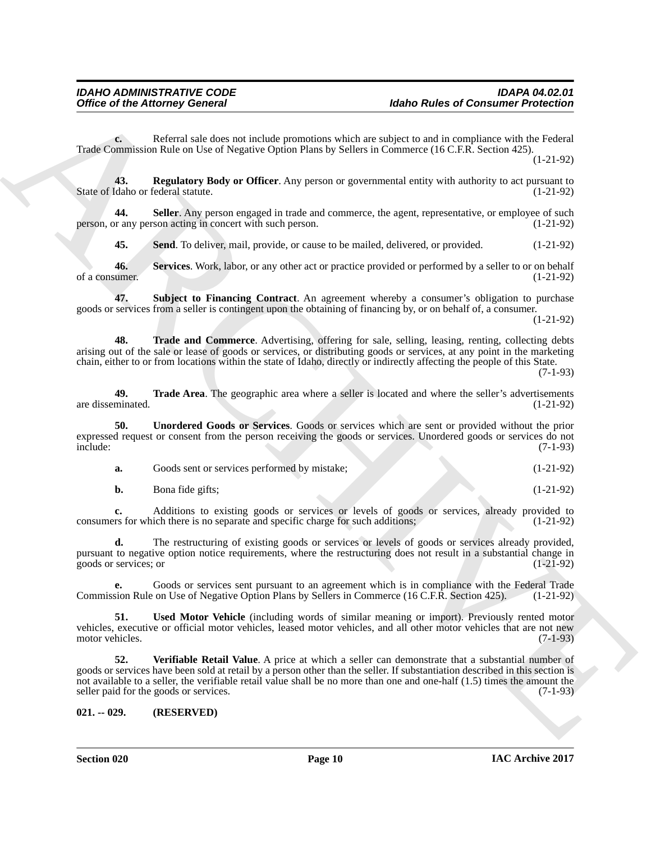**c.** Referral sale does not include promotions which are subject to and in compliance with the Federal Trade Commission Rule on Use of Negative Option Plans by Sellers in Commerce (16 C.F.R. Section 425).

(1-21-92)

<span id="page-9-1"></span>**43. Regulatory Body or Officer**. Any person or governmental entity with authority to act pursuant to State of Idaho or federal statute.

**44. Seller**. Any person engaged in trade and commerce, the agent, representative, or employee of such person, or any person acting in concert with such person. (1-21-92)

<span id="page-9-5"></span><span id="page-9-4"></span><span id="page-9-3"></span><span id="page-9-2"></span>**45.** Send. To deliver, mail, provide, or cause to be mailed, delivered, or provided.  $(1-21-92)$ 

**46. Services**. Work, labor, or any other act or practice provided or performed by a seller to or on behalf of a consumer.  $(1-21-92)$ 

**47. Subject to Financing Contract**. An agreement whereby a consumer's obligation to purchase goods or services from a seller is contingent upon the obtaining of financing by, or on behalf of, a consumer.

(1-21-92)

<span id="page-9-6"></span>**48. Trade and Commerce**. Advertising, offering for sale, selling, leasing, renting, collecting debts arising out of the sale or lease of goods or services, or distributing goods or services, at any point in the marketing chain, either to or from locations within the state of Idaho, directly or indirectly affecting the people of this State.

(7-1-93)

<span id="page-9-7"></span>**49. Trade Area**. The geographic area where a seller is located and where the seller's advertisements minated. (1-21-92) are disseminated.

**50. Unordered Goods or Services**. Goods or services which are sent or provided without the prior expressed request or consent from the person receiving the goods or services. Unordered goods or services do not include: (7-1-93) include: (7-1-93)

<span id="page-9-8"></span>

| Goods sent or services performed by mistake; | $(1-21-92)$ |
|----------------------------------------------|-------------|
| Bona fide gifts;                             | $(1-21-92)$ |

**c.** Additions to existing goods or services or levels of goods or services, already provided to rs for which there is no separate and specific charge for such additions; (1-21-92) consumers for which there is no separate and specific charge for such additions;

**d.** The restructuring of existing goods or services or levels of goods or services already provided, pursuant to negative option notice requirements, where the restructuring does not result in a substantial change in goods or services; or (1-21-92) goods or services; or (1-21-92)

**e.** Goods or services sent pursuant to an agreement which is in compliance with the Federal Trade sion Rule on Use of Negative Option Plans by Sellers in Commerce (16 C.F.R. Section 425). (1-21-92) Commission Rule on Use of Negative Option Plans by Sellers in Commerce (16 C.F.R. Section 425).

<span id="page-9-10"></span><span id="page-9-9"></span>**51.** Used Motor Vehicle (including words of similar meaning or import). Previously rented motor vehicles, executive or official motor vehicles, leased motor vehicles, and all other motor vehicles that are not new motor vehicles.

Office of the Attorney General<br>
Yabbe Rules of Communication Principal<br>
Trade Street and June solution which are detected to an adjoint of the Residential<br>
Trade Communication Communication with the spin of the Communicat **52. Verifiable Retail Value**. A price at which a seller can demonstrate that a substantial number of goods or services have been sold at retail by a person other than the seller. If substantiation described in this section is not available to a seller, the verifiable retail value shall be no more than one and one-half  $(1.5)$  times the amount the seller paid for the goods or services.  $(7-1-93)$ seller paid for the goods or services.

<span id="page-9-0"></span>**021. -- 029. (RESERVED)**

**Section 020 Page 10**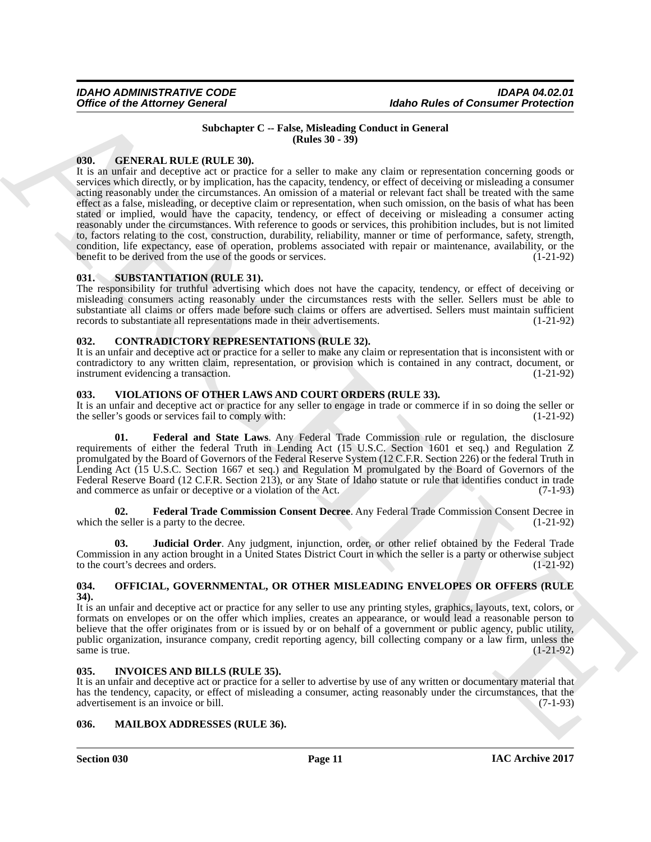#### <span id="page-10-8"></span>**Subchapter C -- False, Misleading Conduct in General (Rules 30 - 39)**

#### <span id="page-10-9"></span><span id="page-10-0"></span>**030. GENERAL RULE (RULE 30).**

Office of the Attorney General<br>
16the Rules of Consumer Presiding Consumer Care and Consumer Presiding Consumer Presiding Consumer Presiding Consumer Presiding Consumer Presiding Consumer Care and Consumer Care and Consum It is an unfair and deceptive act or practice for a seller to make any claim or representation concerning goods or services which directly, or by implication, has the capacity, tendency, or effect of deceiving or misleading a consumer acting reasonably under the circumstances. An omission of a material or relevant fact shall be treated with the same effect as a false, misleading, or deceptive claim or representation, when such omission, on the basis of what has been stated or implied, would have the capacity, tendency, or effect of deceiving or misleading a consumer acting reasonably under the circumstances. With reference to goods or services, this prohibition includes, but is not limited to, factors relating to the cost, construction, durability, reliability, manner or time of performance, safety, strength, condition, life expectancy, ease of operation, problems associated with repair or maintenance, availability, or the benefit to be derived from the use of the goods or services. (1-21-92) benefit to be derived from the use of the goods or services.

#### <span id="page-10-13"></span><span id="page-10-1"></span>**031. SUBSTANTIATION (RULE 31).**

The responsibility for truthful advertising which does not have the capacity, tendency, or effect of deceiving or misleading consumers acting reasonably under the circumstances rests with the seller. Sellers must be able to substantiate all claims or offers made before such claims or offers are advertised. Sellers must maintain sufficient records to substantiate all representations made in their advertisements. (1-21-92) records to substantiate all representations made in their advertisements.

### <span id="page-10-7"></span><span id="page-10-2"></span>**032. CONTRADICTORY REPRESENTATIONS (RULE 32).**

It is an unfair and deceptive act or practice for a seller to make any claim or representation that is inconsistent with or contradictory to any written claim, representation, or provision which is contained in any contract, document, or instrument evidencing a transaction. (1-21-92) instrument evidencing a transaction.

#### <span id="page-10-3"></span>**033. VIOLATIONS OF OTHER LAWS AND COURT ORDERS (RULE 33).**

It is an unfair and deceptive act or practice for any seller to engage in trade or commerce if in so doing the seller or the seller's goods or services fail to comply with: (1-21-92) the seller's goods or services fail to comply with:

<span id="page-10-14"></span>**01. Federal and State Laws**. Any Federal Trade Commission rule or regulation, the disclosure requirements of either the federal Truth in Lending Act (15 U.S.C. Section 1601 et seq.) and Regulation Z promulgated by the Board of Governors of the Federal Reserve System (12 C.F.R. Section 226) or the federal Truth in Lending Act (15 U.S.C. Section 1667 et seq.) and Regulation M promulgated by the Board of Governors of the Federal Reserve Board (12 C.F.R. Section 213), or any State of Idaho statute or rule that identifies conduct in trade and commerce as unfair or deceptive or a violation of the Act. (7-1-93)

<span id="page-10-15"></span>**02. Federal Trade Commission Consent Decree**. Any Federal Trade Commission Consent Decree in which the seller is a party to the decree. (1-21-92)

<span id="page-10-16"></span>**03. Judicial Order**. Any judgment, injunction, order, or other relief obtained by the Federal Trade Commission in any action brought in a United States District Court in which the seller is a party or otherwise subject to the court's decrees and orders. (1-21-92) to the court's decrees and orders.

#### <span id="page-10-12"></span><span id="page-10-4"></span>**034. OFFICIAL, GOVERNMENTAL, OR OTHER MISLEADING ENVELOPES OR OFFERS (RULE 34).**

It is an unfair and deceptive act or practice for any seller to use any printing styles, graphics, layouts, text, colors, or formats on envelopes or on the offer which implies, creates an appearance, or would lead a reasonable person to believe that the offer originates from or is issued by or on behalf of a government or public agency, public utility, public organization, insurance company, credit reporting agency, bill collecting company or a law firm, unless the same is true.  $(1-21-92)$ 

#### <span id="page-10-10"></span><span id="page-10-5"></span>**035. INVOICES AND BILLS (RULE 35).**

It is an unfair and deceptive act or practice for a seller to advertise by use of any written or documentary material that has the tendency, capacity, or effect of misleading a consumer, acting reasonably under the circumstances, that the advertisement is an invoice or bill. (7-1-93)

#### <span id="page-10-11"></span><span id="page-10-6"></span>**036. MAILBOX ADDRESSES (RULE 36).**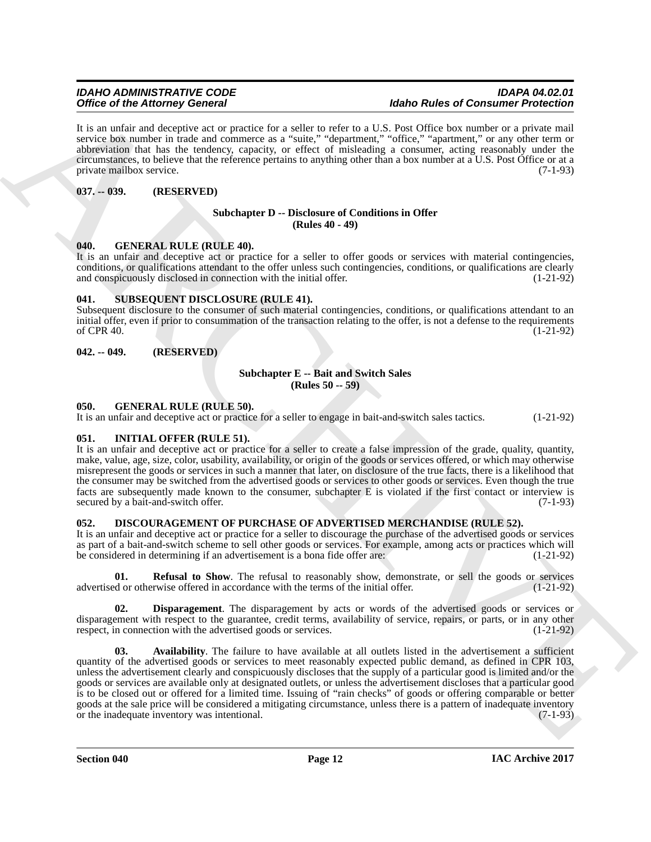It is an unfair and deceptive act or practice for a seller to refer to a U.S. Post Office box number or a private mail service box number in trade and commerce as a "suite," "department," "office," "apartment," or any other term or abbreviation that has the tendency, capacity, or effect of misleading a consumer, acting reasonably under the circumstances, to believe that the reference pertains to anything other than a box number at a U.S. Post Office or at a private mailbox service. (7-1-93)

#### <span id="page-11-0"></span>**037. -- 039. (RESERVED)**

#### <span id="page-11-8"></span>**Subchapter D -- Disclosure of Conditions in Offer (Rules 40 - 49)**

#### <span id="page-11-13"></span><span id="page-11-1"></span>**040. GENERAL RULE (RULE 40).**

It is an unfair and deceptive act or practice for a seller to offer goods or services with material contingencies, conditions, or qualifications attendant to the offer unless such contingencies, conditions, or qualifications are clearly and conspicuously disclosed in connection with the initial offer. (1-21-92)

#### <span id="page-11-15"></span><span id="page-11-2"></span>**041. SUBSEQUENT DISCLOSURE (RULE 41).**

Subsequent disclosure to the consumer of such material contingencies, conditions, or qualifications attendant to an initial offer, even if prior to consummation of the transaction relating to the offer, is not a defense to the requirements of CPR 40. of CPR 40.  $(1-21-92)$ 

#### <span id="page-11-3"></span>**042. -- 049. (RESERVED)**

#### <span id="page-11-7"></span>**Subchapter E -- Bait and Switch Sales (Rules 50 -- 59)**

#### <span id="page-11-12"></span><span id="page-11-4"></span>**050. GENERAL RULE (RULE 50).**

It is an unfair and deceptive act or practice for a seller to engage in bait-and-switch sales tactics. (1-21-92)

#### <span id="page-11-14"></span><span id="page-11-5"></span>**051. INITIAL OFFER (RULE 51).**

It is an unfair and deceptive act or practice for a seller to create a false impression of the grade, quality, quantity, make, value, age, size, color, usability, availability, or origin of the goods or services offered, or which may otherwise misrepresent the goods or services in such a manner that later, on disclosure of the true facts, there is a likelihood that the consumer may be switched from the advertised goods or services to other goods or services. Even though the true facts are subsequently made known to the consumer, subchapter E is violated if the first contact or interview is secured by a bait-and-switch offer. (7-1-93)

#### <span id="page-11-6"></span>**052. DISCOURAGEMENT OF PURCHASE OF ADVERTISED MERCHANDISE (RULE 52).**

It is an unfair and deceptive act or practice for a seller to discourage the purchase of the advertised goods or services as part of a bait-and-switch scheme to sell other goods or services. For example, among acts or practices which will be considered in determining if an advertisement is a bona fide offer are: (1-21-92)

<span id="page-11-11"></span>**01. Refusal to Show**. The refusal to reasonably show, demonstrate, or sell the goods or services d or otherwise offered in accordance with the terms of the initial offer. (1-21-92) advertised or otherwise offered in accordance with the terms of the initial offer.

<span id="page-11-10"></span><span id="page-11-9"></span>**02. Disparagement**. The disparagement by acts or words of the advertised goods or services or disparagement with respect to the guarantee, credit terms, availability of service, repairs, or parts, or in any other respect, in connection with the advertised goods or services. (1-21-92) respect, in connection with the advertised goods or services.

ARCHIVE **03. Availability**. The failure to have available at all outlets listed in the advertisement a sufficient quantity of the advertised goods or services to meet reasonably expected public demand, as defined in CPR 103, unless the advertisement clearly and conspicuously discloses that the supply of a particular good is limited and/or the goods or services are available only at designated outlets, or unless the advertisement discloses that a particular good is to be closed out or offered for a limited time. Issuing of "rain checks" of goods or offering comparable or better goods at the sale price will be considered a mitigating circumstance, unless there is a pattern of inadequate inventory or the inadequate inventory was intentional. (7-1-93)

**Section 040 Page 12**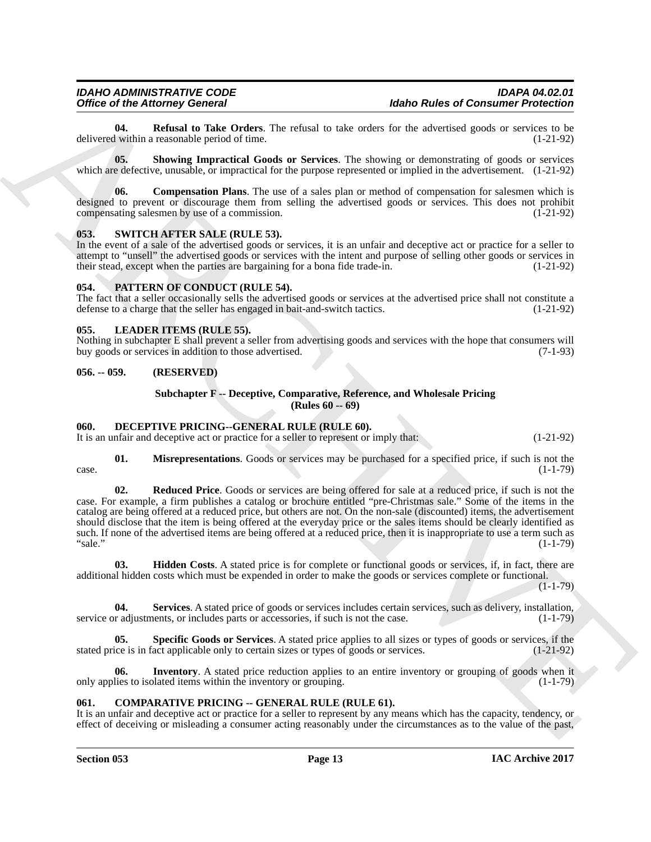<span id="page-12-14"></span>**04. Refusal to Take Orders**. The refusal to take orders for the advertised goods or services to be (1-21-92) within a reasonable period of time. delivered within a reasonable period of time.

<span id="page-12-15"></span>**05. Showing Impractical Goods or Services**. The showing or demonstrating of goods or services which are defective, unusable, or impractical for the purpose represented or implied in the advertisement. (1-21-92)

<span id="page-12-13"></span>**06. Compensation Plans**. The use of a sales plan or method of compensation for salesmen which is designed to prevent or discourage them from selling the advertised goods or services. This does not prohibit compensating salesmen by use of a commission. (1-21-92)

#### <span id="page-12-18"></span><span id="page-12-0"></span>**053. SWITCH AFTER SALE (RULE 53).**

In the event of a sale of the advertised goods or services, it is an unfair and deceptive act or practice for a seller to attempt to "unsell" the advertised goods or services with the intent and purpose of selling other goods or services in their stead, except when the parties are bargaining for a bona fide trade-in. (1-21-92)

#### <span id="page-12-17"></span><span id="page-12-1"></span>**054. PATTERN OF CONDUCT (RULE 54).**

The fact that a seller occasionally sells the advertised goods or services at the advertised price shall not constitute a defense to a charge that the seller has engaged in bait-and-switch tactics. (1-21-92) defense to a charge that the seller has engaged in bait-and-switch tactics.

#### <span id="page-12-16"></span><span id="page-12-2"></span>**055. LEADER ITEMS (RULE 55).**

Nothing in subchapter E shall prevent a seller from advertising goods and services with the hope that consumers will buy goods or services in addition to those advertised.

#### <span id="page-12-3"></span>**056. -- 059. (RESERVED)**

#### <span id="page-12-12"></span><span id="page-12-8"></span>**Subchapter F -- Deceptive, Comparative, Reference, and Wholesale Pricing (Rules 60 -- 69)**

#### <span id="page-12-4"></span>**060. DECEPTIVE PRICING--GENERAL RULE (RULE 60).**

It is an unfair and deceptive act or practice for a seller to represent or imply that: (1-21-92)

<span id="page-12-9"></span>**01. Misrepresentations**. Goods or services may be purchased for a specified price, if such is not the  $(1-1-79)$  $\csc 2$  (1-1-79)

Office of Henricany General Dealer The related but the two cases are consumer Presidents. In the state of the state of the state of the state of the state of the state of the state of the state of the state of the state o **02. Reduced Price**. Goods or services are being offered for sale at a reduced price, if such is not the case. For example, a firm publishes a catalog or brochure entitled "pre-Christmas sale." Some of the items in the catalog are being offered at a reduced price, but others are not. On the non-sale (discounted) items, the advertisement should disclose that the item is being offered at the everyday price or the sales items should be clearly identified as such. If none of the advertised items are being offered at a reduced price, then it is inappropriate to use a term such as "sale." (1-1-79) "sale." (1-1-79)

<span id="page-12-6"></span>**03. Hidden Costs**. A stated price is for complete or functional goods or services, if, in fact, there are additional hidden costs which must be expended in order to make the goods or services complete or functional.

 $(1-1-79)$ 

<span id="page-12-10"></span>**04. Services**. A stated price of goods or services includes certain services, such as delivery, installation, service or adjustments, or includes parts or accessories, if such is not the case.  $(1-1-79)$ 

<span id="page-12-11"></span>**05. Specific Goods or Services**. A stated price applies to all sizes or types of goods or services, if the stated price is in fact applicable only to certain sizes or types of goods or services. (1-21-92)

<span id="page-12-7"></span>**Inventory**. A stated price reduction applies to an entire inventory or grouping of goods when it plated items within the inventory or grouping. (1-1-79) only applies to isolated items within the inventory or grouping.

#### <span id="page-12-5"></span>**061. COMPARATIVE PRICING -- GENERAL RULE (RULE 61).**

It is an unfair and deceptive act or practice for a seller to represent by any means which has the capacity, tendency, or effect of deceiving or misleading a consumer acting reasonably under the circumstances as to the value of the past,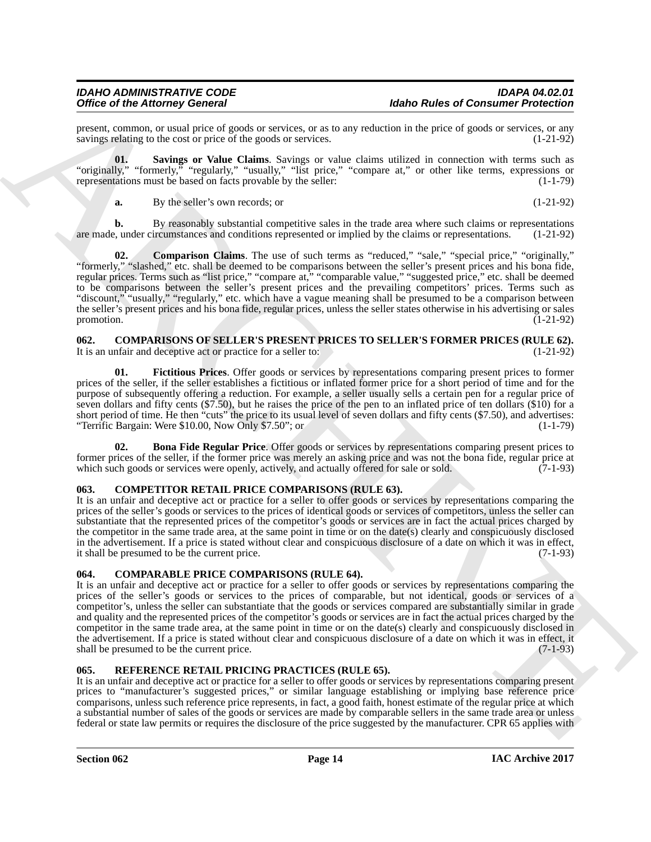present, common, or usual price of goods or services, or as to any reduction in the price of goods or services, or any sayings relating to the cost or price of the goods or services. (1-21-92) savings relating to the cost or price of the goods or services.

**01. Savings or Value Claims**. Savings or value claims utilized in connection with terms such as "originally," "formerly," "regularly," "usually," "list price," "compare at," or other like terms, expressions or representations must be based on facts provable by the seller:  $(1-1-79)$ representations must be based on facts provable by the seller:

<span id="page-13-6"></span><span id="page-13-5"></span>**a.** By the seller's own records; or (1-21-92)

**b.** By reasonably substantial competitive sales in the trade area where such claims or representations are made, under circumstances and conditions represented or implied by the claims or representations. (1-21-92)

**02. Comparison Claims**. The use of such terms as "reduced," "sale," "special price," "originally," "formerly," "slashed," etc. shall be deemed to be comparisons between the seller's present prices and his bona fide, regular prices. Terms such as "list price," "compare at," "comparable value," "suggested price," etc. shall be deemed to be comparisons between the seller's present prices and the prevailing competitors' prices. Terms such as "discount," "usually," "regularly," etc. which have a vague meaning shall be presumed to be a comparison between the seller's present prices and his bona fide, regular prices, unless the seller states otherwise in his advertising or sales promotion. (1-21-92)

#### <span id="page-13-0"></span>**062.** COMPARISONS OF SELLER'S PRESENT PRICES TO SELLER'S FORMER PRICES (RULE 62).<br>It is an unfair and deceptive act or practice for a seller to: (1-21-92) It is an unfair and deceptive act or practice for a seller to:

<span id="page-13-8"></span>**01. Fictitious Prices**. Offer goods or services by representations comparing present prices to former prices of the seller, if the seller establishes a fictitious or inflated former price for a short period of time and for the purpose of subsequently offering a reduction. For example, a seller usually sells a certain pen for a regular price of seven dollars and fifty cents (\$7.50), but he raises the price of the pen to an inflated price of ten dollars (\$10) for a short period of time. He then "cuts" the price to its usual level of seven dollars and fifty cents (\$7.50), and advertises: "Terrific Bargain: Were \$10.00, Now Only \$7.50"; or (1-1-79)

<span id="page-13-7"></span>**02. Bona Fide Regular Price**. Offer goods or services by representations comparing present prices to former prices of the seller, if the former price was merely an asking price and was not the bona fide, regular price at which such goods or services were openly, actively, and actually offered for sale or sold. (7-1-93) which such goods or services were openly, actively, and actually offered for sale or sold.

### <span id="page-13-9"></span><span id="page-13-1"></span>**063. COMPETITOR RETAIL PRICE COMPARISONS (RULE 63).**

It is an unfair and deceptive act or practice for a seller to offer goods or services by representations comparing the prices of the seller's goods or services to the prices of identical goods or services of competitors, unless the seller can substantiate that the represented prices of the competitor's goods or services are in fact the actual prices charged by the competitor in the same trade area, at the same point in time or on the date(s) clearly and conspicuously disclosed in the advertisement. If a price is stated without clear and conspicuous disclosure of a date on which it was in effect, it shall be presumed to be the current price. (7-1-93)

#### <span id="page-13-4"></span><span id="page-13-2"></span>**064. COMPARABLE PRICE COMPARISONS (RULE 64).**

Office of the Afterna (Eds.) Consumer Mode Photos and Scholar Research and the University of the Afterna Consumer Principal and the Consumer Consumer Consumer Consumer Consumer Consumer Consumer Consumer Consumer Consumer It is an unfair and deceptive act or practice for a seller to offer goods or services by representations comparing the prices of the seller's goods or services to the prices of comparable, but not identical, goods or services of a competitor's, unless the seller can substantiate that the goods or services compared are substantially similar in grade and quality and the represented prices of the competitor's goods or services are in fact the actual prices charged by the competitor in the same trade area, at the same point in time or on the date(s) clearly and conspicuously disclosed in the advertisement. If a price is stated without clear and conspicuous disclosure of a date on which it was in effect, it shall be presumed to be the current price. shall be presumed to be the current price.

#### <span id="page-13-10"></span><span id="page-13-3"></span>**065. REFERENCE RETAIL PRICING PRACTICES (RULE 65).**

It is an unfair and deceptive act or practice for a seller to offer goods or services by representations comparing present prices to "manufacturer's suggested prices," or similar language establishing or implying base reference price comparisons, unless such reference price represents, in fact, a good faith, honest estimate of the regular price at which a substantial number of sales of the goods or services are made by comparable sellers in the same trade area or unless federal or state law permits or requires the disclosure of the price suggested by the manufacturer. CPR 65 applies with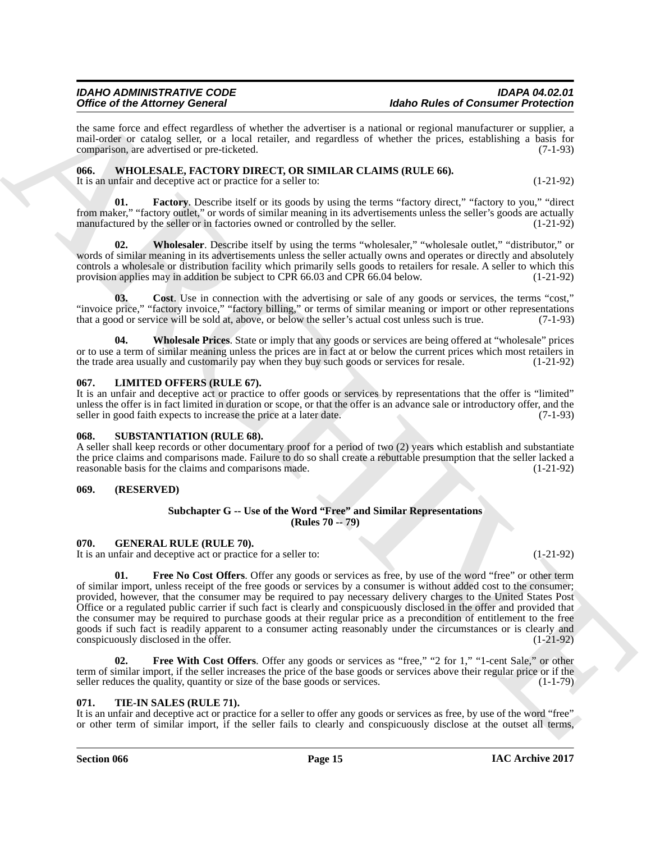the same force and effect regardless of whether the advertiser is a national or regional manufacturer or supplier, a mail-order or catalog seller, or a local retailer, and regardless of whether the prices, establishing a basis for comparison, are advertised or pre-ticketed. (7-1-93)

#### <span id="page-14-0"></span>**066. WHOLESALE, FACTORY DIRECT, OR SIMILAR CLAIMS (RULE 66).**

<span id="page-14-13"></span>It is an unfair and deceptive act or practice for a seller to: (1-21-92)

**01. Factory**. Describe itself or its goods by using the terms "factory direct," "factory to you," "direct from maker," "factory outlet," or words of similar meaning in its advertisements unless the seller's goods are actually manufactured by the seller or in factories owned or controlled by the seller. (1-21-92) manufactured by the seller or in factories owned or controlled by the seller.

<span id="page-14-15"></span>**02. Wholesaler**. Describe itself by using the terms "wholesaler," "wholesale outlet," "distributor," or words of similar meaning in its advertisements unless the seller actually owns and operates or directly and absolutely controls a wholesale or distribution facility which primarily sells goods to retailers for resale. A seller to which this provision applies may in addition be subject to CPR 66.03 and CPR 66.04 below. (1-21-92)

<span id="page-14-12"></span>**03. Cost**. Use in connection with the advertising or sale of any goods or services, the terms "cost," "invoice price," "factory invoice," "factory billing," or terms of similar meaning or import or other representations that a good or service will be sold at, above, or below the seller's actual cost unless such is true. (7-1-93)

<span id="page-14-14"></span>**04. Wholesale Prices**. State or imply that any goods or services are being offered at "wholesale" prices or to use a term of similar meaning unless the prices are in fact at or below the current prices which most retailers in the trade area usually and customarily pay when they buy such goods or services for resale. (1-21-92)

#### <span id="page-14-8"></span><span id="page-14-1"></span>**067. LIMITED OFFERS (RULE 67).**

It is an unfair and deceptive act or practice to offer goods or services by representations that the offer is "limited" unless the offer is in fact limited in duration or scope, or that the offer is an advance sale or introductory offer, and the seller in good faith expects to increase the price at a later date. (7-1-93)

#### <span id="page-14-9"></span><span id="page-14-2"></span>**068. SUBSTANTIATION (RULE 68).**

A seller shall keep records or other documentary proof for a period of two (2) years which establish and substantiate the price claims and comparisons made. Failure to do so shall create a rebuttable presumption that the seller lacked a reasonable basis for the claims and comparisons made. (1-21-92)

#### <span id="page-14-3"></span>**069. (RESERVED)**

#### <span id="page-14-11"></span><span id="page-14-6"></span>**Subchapter G -- Use of the Word "Free" and Similar Representations (Rules 70 -- 79)**

### <span id="page-14-4"></span>**070. GENERAL RULE (RULE 70).**

It is an unfair and deceptive act or practice for a seller to: (1-21-92)

Office of the Alternative Concert is a strong to the state of the Back of Concerting the state of the Alternative Concerting the state of the state of the state of the state of the State of the State of the State of the S **01. Free No Cost Offers**. Offer any goods or services as free, by use of the word "free" or other term of similar import, unless receipt of the free goods or services by a consumer is without added cost to the consumer; provided, however, that the consumer may be required to pay necessary delivery charges to the United States Post Office or a regulated public carrier if such fact is clearly and conspicuously disclosed in the offer and provided that the consumer may be required to purchase goods at their regular price as a precondition of entitlement to the free goods if such fact is readily apparent to a consumer acting reasonably under the circumstances or is clearly and conspicuously disclosed in the offer. (1-21-92)

<span id="page-14-7"></span>**02. Free With Cost Offers**. Offer any goods or services as "free," "2 for 1," "1-cent Sale," or other term of similar import, if the seller increases the price of the base goods or services above their regular price or if the seller reduces the quality, quantity or size of the base goods or services. (1-1-79) seller reduces the quality, quantity or size of the base goods or services.

#### <span id="page-14-10"></span><span id="page-14-5"></span>**071. TIE-IN SALES (RULE 71).**

It is an unfair and deceptive act or practice for a seller to offer any goods or services as free, by use of the word "free" or other term of similar import, if the seller fails to clearly and conspicuously disclose at the outset all terms,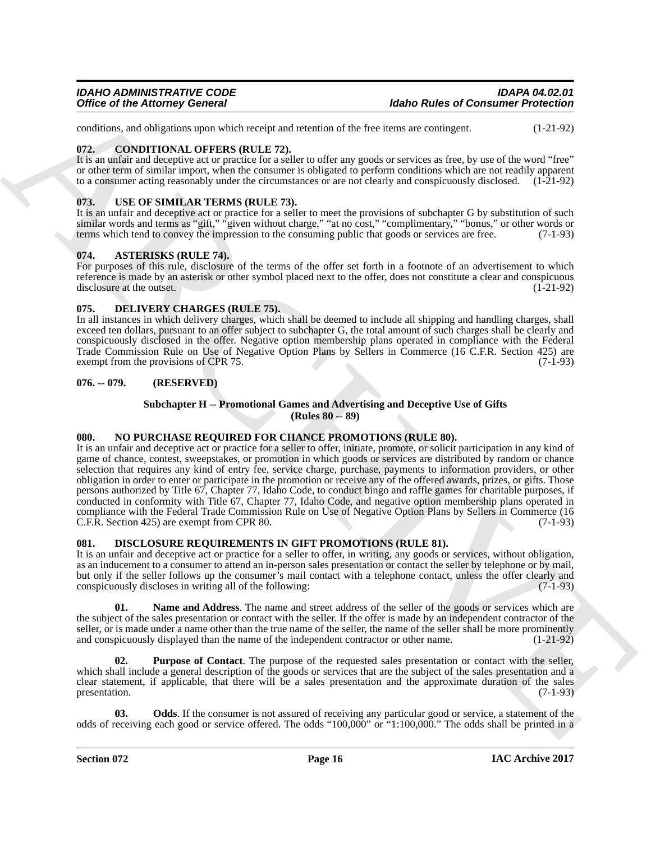conditions, and obligations upon which receipt and retention of the free items are contingent. (1-21-92)

#### <span id="page-15-8"></span><span id="page-15-0"></span>**072. CONDITIONAL OFFERS (RULE 72).**

It is an unfair and deceptive act or practice for a seller to offer any goods or services as free, by use of the word "free" or other term of similar import, when the consumer is obligated to perform conditions which are not readily apparent to a consumer acting reasonably under the circumstances or are not clearly and conspicuously disclosed. (1-21-92)

### <span id="page-15-15"></span><span id="page-15-1"></span>**073. USE OF SIMILAR TERMS (RULE 73).**

It is an unfair and deceptive act or practice for a seller to meet the provisions of subchapter G by substitution of such similar words and terms as "gift," "given without charge," "at no cost," "complimentary," "bonus," or other words or terms which tend to convey the impression to the consuming public that goods or services are free. (7-1-93)

#### <span id="page-15-7"></span><span id="page-15-2"></span>**074. ASTERISKS (RULE 74).**

For purposes of this rule, disclosure of the terms of the offer set forth in a footnote of an advertisement to which reference is made by an asterisk or other symbol placed next to the offer, does not constitute a clear and conspicuous disclosure at the outset. (1-21-92) disclosure at the outset.

#### <span id="page-15-9"></span><span id="page-15-3"></span>**075. DELIVERY CHARGES (RULE 75).**

In all instances in which delivery charges, which shall be deemed to include all shipping and handling charges, shall exceed ten dollars, pursuant to an offer subject to subchapter G, the total amount of such charges shall be clearly and conspicuously disclosed in the offer. Negative option membership plans operated in compliance with the Federal Trade Commission Rule on Use of Negative Option Plans by Sellers in Commerce (16 C.F.R. Section 425) are exempt from the provisions of CPR 75. exempt from the provisions of CPR 75.

#### <span id="page-15-4"></span>**076. -- 079. (RESERVED)**

#### <span id="page-15-14"></span><span id="page-15-13"></span>**Subchapter H -- Promotional Games and Advertising and Deceptive Use of Gifts (Rules 80 -- 89)**

#### <span id="page-15-5"></span>**080. NO PURCHASE REQUIRED FOR CHANCE PROMOTIONS (RULE 80).**

Office of the Attorney General<br>
value of the Attorney General<br>
value of the Attorney General<br>
value of the Schwarz and the Schwarz and the Schwarz and the Schwarz and the Schwarz and Hard and Hard and Hard and Hard and Ha It is an unfair and deceptive act or practice for a seller to offer, initiate, promote, or solicit participation in any kind of game of chance, contest, sweepstakes, or promotion in which goods or services are distributed by random or chance selection that requires any kind of entry fee, service charge, purchase, payments to information providers, or other obligation in order to enter or participate in the promotion or receive any of the offered awards, prizes, or gifts. Those persons authorized by Title 67, Chapter 77, Idaho Code, to conduct bingo and raffle games for charitable purposes, if conducted in conformity with Title 67, Chapter 77, Idaho Code, and negative option membership plans operated in compliance with the Federal Trade Commission Rule on Use of Negative Option Plans by Sellers in Commerce (16<br>C.F.R. Section 425) are exempt from CPR 80. (7-1-93) C.F.R. Section 425) are exempt from CPR 80.

#### <span id="page-15-6"></span>**081. DISCLOSURE REQUIREMENTS IN GIFT PROMOTIONS (RULE 81).**

It is an unfair and deceptive act or practice for a seller to offer, in writing, any goods or services, without obligation, as an inducement to a consumer to attend an in-person sales presentation or contact the seller by telephone or by mail, but only if the seller follows up the consumer's mail contact with a telephone contact, unless the offer clearly and conspicuously discloses in writing all of the following: (7-1-93)

<span id="page-15-10"></span>**01. Name and Address**. The name and street address of the seller of the goods or services which are the subject of the sales presentation or contact with the seller. If the offer is made by an independent contractor of the seller, or is made under a name other than the true name of the seller, the name of the seller shall be more prominently and conspicuously displayed than the name of the independent contractor or other name. (1-21-92)

<span id="page-15-12"></span>**02. Purpose of Contact**. The purpose of the requested sales presentation or contact with the seller, which shall include a general description of the goods or services that are the subject of the sales presentation and a clear statement, if applicable, that there will be a sales presentation and the approximate duration of the sales presentation. (7-1-93)

<span id="page-15-11"></span>**03.** Odds. If the consumer is not assured of receiving any particular good or service, a statement of the odds of receiving each good or service offered. The odds "100,000" or "1:100,000." The odds shall be printed in a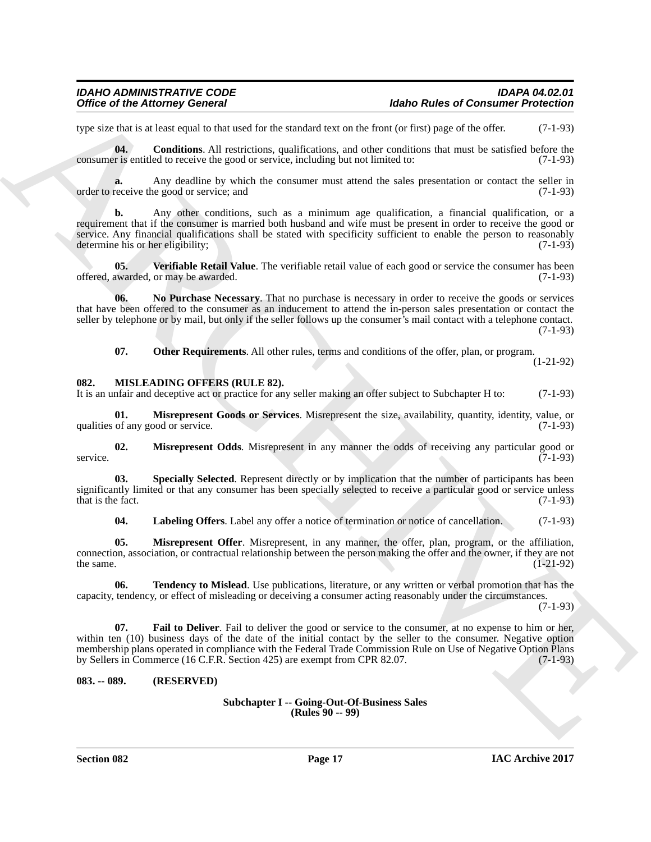### *IDAHO ADMINISTRATIVE CODE IDAPA 04.02.01* **Idaho Rules of Consumer Protection**

type size that is at least equal to that used for the standard text on the front (or first) page of the offer. (7-1-93)

<span id="page-16-2"></span>**04.** Conditions. All restrictions, qualifications, and other conditions that must be satisfied before the consumer is entitled to receive the good or service, including but not limited to: (7-1-93)

**a.** Any deadline by which the consumer must attend the sales presentation or contact the seller in receive the good or service: and  $(7-1-93)$ order to receive the good or service; and

Office of the Altomasy General<br>
operation and the state state and the state state when the state state and the state state state state state state of the state state of the state state of the state of the state of the sta **b.** Any other conditions, such as a minimum age qualification, a financial qualification, or a requirement that if the consumer is married both husband and wife must be present in order to receive the good or service. Any financial qualifications shall be stated with specificity sufficient to enable the person to reasonably determine his or her eligibility; (7-1-93) determine his or her eligibility;

<span id="page-16-5"></span>**05. Verifiable Retail Value**. The verifiable retail value of each good or service the consumer has been offered, awarded, or may be awarded. (7-1-93)

**06. No Purchase Necessary**. That no purchase is necessary in order to receive the goods or services that have been offered to the consumer as an inducement to attend the in-person sales presentation or contact the seller by telephone or by mail, but only if the seller follows up the consumer's mail contact with a telephone contact. (7-1-93)

<span id="page-16-9"></span><span id="page-16-4"></span><span id="page-16-3"></span>**07. Other Requirements**. All other rules, terms and conditions of the offer, plan, or program.

(1-21-92)

#### <span id="page-16-0"></span>**082. MISLEADING OFFERS (RULE 82).**

It is an unfair and deceptive act or practice for any seller making an offer subject to Subchapter H to: (7-1-93)

**01. Misrepresent Goods or Services**. Misrepresent the size, availability, quantity, identity, value, or of any good or service. (7-1-93) qualities of any good or service.

<span id="page-16-10"></span>**02.** Misrepresent Odds. Misrepresent in any manner the odds of receiving any particular good or  $(7-1-93)$ service. (7-1-93)

**03.** Specially Selected. Represent directly or by implication that the number of participants has been significantly limited or that any consumer has been specially selected to receive a particular good or service unless that is the fact. (7-1-93) that is the fact.

<span id="page-16-13"></span><span id="page-16-12"></span><span id="page-16-11"></span><span id="page-16-8"></span>**04. Labeling Offers**. Label any offer a notice of termination or notice of cancellation. (7-1-93)

**05. Misrepresent Offer**. Misrepresent, in any manner, the offer, plan, program, or the affiliation, connection, association, or contractual relationship between the person making the offer and the owner, if they are not the same.  $(1-21-92)$ 

**06. Tendency to Mislead**. Use publications, literature, or any written or verbal promotion that has the capacity, tendency, or effect of misleading or deceiving a consumer acting reasonably under the circumstances.

(7-1-93)

<span id="page-16-7"></span>**07. Fail to Deliver**. Fail to deliver the good or service to the consumer, at no expense to him or her, within ten (10) business days of the date of the initial contact by the seller to the consumer. Negative option membership plans operated in compliance with the Federal Trade Commission Rule on Use of Negative Option Plans<br>by Sellers in Commerce (16 C.F.R. Section 425) are exempt from CPR 82.07. by Sellers in Commerce (16 C.F.R. Section 425) are exempt from CPR 82.07.

#### <span id="page-16-1"></span>**083. -- 089. (RESERVED)**

#### <span id="page-16-6"></span>**Subchapter I -- Going-Out-Of-Business Sales (Rules 90 -- 99)**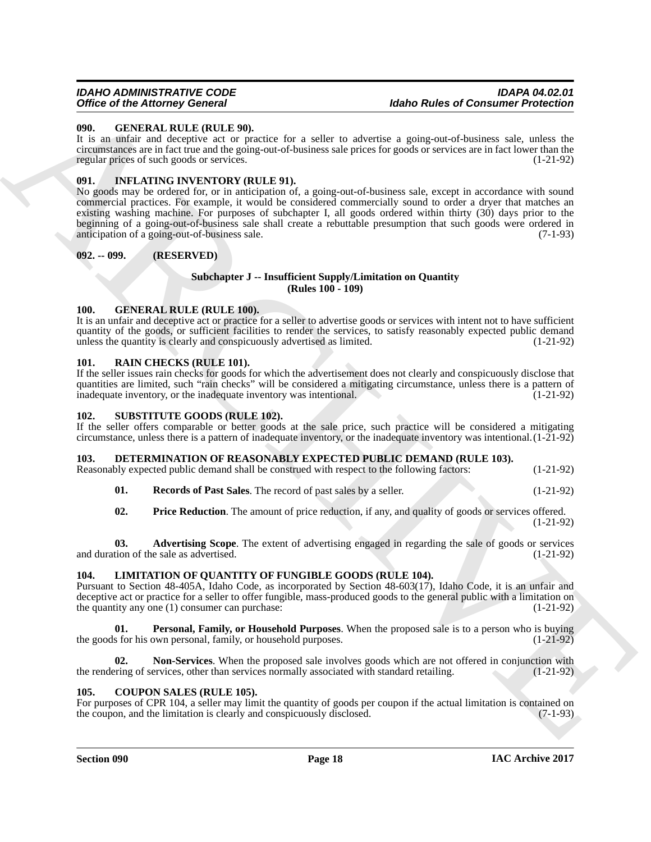#### <span id="page-17-13"></span><span id="page-17-0"></span>**090. GENERAL RULE (RULE 90).**

It is an unfair and deceptive act or practice for a seller to advertise a going-out-of-business sale, unless the circumstances are in fact true and the going-out-of-business sale prices for goods or services are in fact lower than the regular prices of such goods or services. (1-21-92)

#### <span id="page-17-15"></span><span id="page-17-1"></span>**091. INFLATING INVENTORY (RULE 91).**

Once of the Alexany Concess of Consumer Protections<br>
Units and Consumer Protections<br>
Units are a spain of the state of a spain of a spain of a spain of the state of the state of the state<br>
Let us a maximum and the protec No goods may be ordered for, or in anticipation of, a going-out-of-business sale, except in accordance with sound commercial practices. For example, it would be considered commercially sound to order a dryer that matches an existing washing machine. For purposes of subchapter I, all goods ordered within thirty (30) days prior to the beginning of a going-out-of-business sale shall create a rebuttable presumption that such goods were ordered in anticipation of a going-out-of-business sale. (7-1-93)

#### <span id="page-17-2"></span>**092. -- 099. (RESERVED)**

#### <span id="page-17-16"></span>**Subchapter J -- Insufficient Supply/Limitation on Quantity (Rules 100 - 109)**

### <span id="page-17-14"></span><span id="page-17-3"></span>**100. GENERAL RULE (RULE 100).**

It is an unfair and deceptive act or practice for a seller to advertise goods or services with intent not to have sufficient quantity of the goods, or sufficient facilities to render the services, to satisfy reasonably expected public demand unless the quantity is clearly and conspicuously advertised as limited. (1-21-92)

#### <span id="page-17-19"></span><span id="page-17-4"></span>**101. RAIN CHECKS (RULE 101).**

If the seller issues rain checks for goods for which the advertisement does not clearly and conspicuously disclose that quantities are limited, such "rain checks" will be considered a mitigating circumstance, unless there is a pattern of inadequate inventory, or the inadequate inventory was intentional. (1-21-92) (1-21-92)

#### <span id="page-17-20"></span><span id="page-17-5"></span>**102. SUBSTITUTE GOODS (RULE 102).**

If the seller offers comparable or better goods at the sale price, such practice will be considered a mitigating circumstance, unless there is a pattern of inadequate inventory, or the inadequate inventory was intentional.(1-21-92)

#### <span id="page-17-6"></span>**103. DETERMINATION OF REASONABLY EXPECTED PUBLIC DEMAND (RULE 103).**

Reasonably expected public demand shall be construed with respect to the following factors: (1-21-92)

<span id="page-17-12"></span>**01. Records of Past Sales**. The record of past sales by a seller. (1-21-92)

<span id="page-17-11"></span><span id="page-17-10"></span>**02. Price Reduction**. The amount of price reduction, if any, and quality of goods or services offered. (1-21-92)

**03. Advertising Scope**. The extent of advertising engaged in regarding the sale of goods or services and duration of the sale as advertised.  $(1-21-92)$ 

#### <span id="page-17-7"></span>**104. LIMITATION OF QUANTITY OF FUNGIBLE GOODS (RULE 104).**

Pursuant to Section 48-405A, Idaho Code, as incorporated by Section 48-603(17), Idaho Code, it is an unfair and deceptive act or practice for a seller to offer fungible, mass-produced goods to the general public with a limitation on the quantity any one (1) consumer can purchase: (1-21-92) (1-21-92)

<span id="page-17-18"></span>**Personal, Family, or Household Purposes**. When the proposed sale is to a person who is buying own personal, family, or household purposes. (1-21-92) the goods for his own personal, family, or household purposes.

<span id="page-17-17"></span>**02.** Non-Services. When the proposed sale involves goods which are not offered in conjunction with erring of services, other than services normally associated with standard retailing. (1-21-92) the rendering of services, other than services normally associated with standard retailing.

#### <span id="page-17-9"></span><span id="page-17-8"></span>**105. COUPON SALES (RULE 105).**

For purposes of CPR 104, a seller may limit the quantity of goods per coupon if the actual limitation is contained on the coupon, and the limitation is clearly and conspicuously disclosed. (7-1-93) the coupon, and the limitation is clearly and conspicuously disclosed.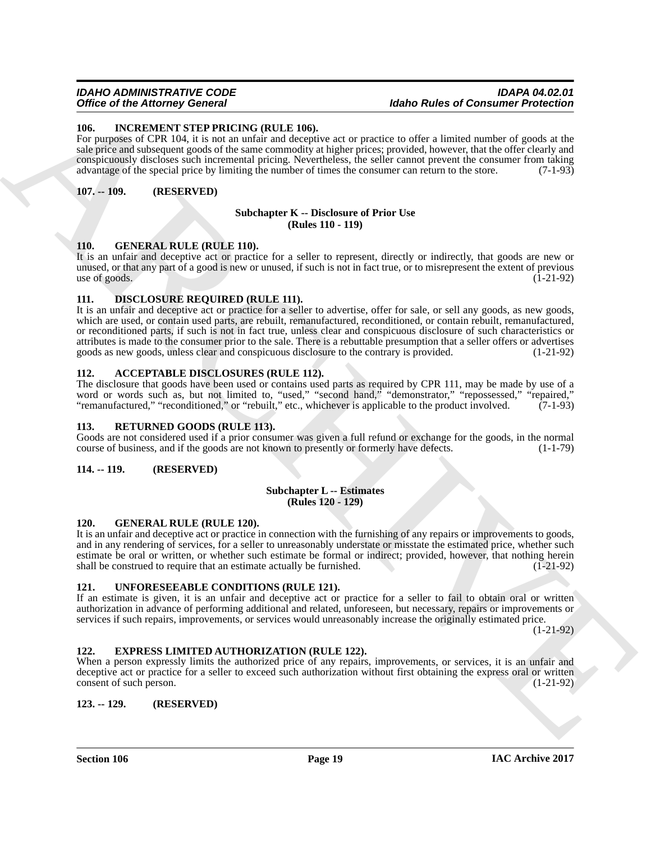#### *IDAHO ADMINISTRATIVE CODE IDAPA 04.02.01* **Idaho Rules of Consumer Protection**

#### <span id="page-18-18"></span><span id="page-18-0"></span>**106. INCREMENT STEP PRICING (RULE 106).**

For purposes of CPR 104, it is not an unfair and deceptive act or practice to offer a limited number of goods at the sale price and subsequent goods of the same commodity at higher prices; provided, however, that the offer clearly and conspicuously discloses such incremental pricing. Nevertheless, the seller cannot prevent the consumer from taking advantage of the special price by limiting the number of times the consumer can return to the store. (7-1-93)

#### <span id="page-18-1"></span>**107. -- 109. (RESERVED)**

#### <span id="page-18-12"></span>**Subchapter K -- Disclosure of Prior Use (Rules 110 - 119)**

#### <span id="page-18-16"></span><span id="page-18-2"></span>**110. GENERAL RULE (RULE 110).**

It is an unfair and deceptive act or practice for a seller to represent, directly or indirectly, that goods are new or unused, or that any part of a good is new or unused, if such is not in fact true, or to misrepresent the extent of previous use of goods.  $(1-21-92)$ 

#### <span id="page-18-13"></span><span id="page-18-3"></span>**111. DISCLOSURE REQUIRED (RULE 111).**

Once of the Attorney Govern 2. The same unit and the same of the same of the same of the same of the same of the same of the same of the same of the same of the same of the same of the same of the same of the same of the It is an unfair and deceptive act or practice for a seller to advertise, offer for sale, or sell any goods, as new goods, which are used, or contain used parts, are rebuilt, remanufactured, reconditioned, or contain rebuilt, remanufactured, or reconditioned parts, if such is not in fact true, unless clear and conspicuous disclosure of such characteristics or attributes is made to the consumer prior to the sale. There is a rebuttable presumption that a seller offers or advertises goods as new goods, unless clear and conspicuous disclosure to the contrary is provided. (1-21-92)

#### <span id="page-18-11"></span><span id="page-18-4"></span>**112. ACCEPTABLE DISCLOSURES (RULE 112).**

The disclosure that goods have been used or contains used parts as required by CPR 111, may be made by use of a word or words such as, but not limited to, "used," "second hand," "demonstrator," "repossessed," "repaired," "remanufactured," "reconditioned," or "rebuilt," etc., whichever is applicable to the product involved. (7-1-93)

#### <span id="page-18-19"></span><span id="page-18-5"></span>**113. RETURNED GOODS (RULE 113).**

Goods are not considered used if a prior consumer was given a full refund or exchange for the goods, in the normal course of business, and if the goods are not known to presently or formerly have defects. (1-1-79)

#### <span id="page-18-6"></span>**114. -- 119. (RESERVED)**

#### <span id="page-18-14"></span>**Subchapter L -- Estimates (Rules 120 - 129)**

#### <span id="page-18-17"></span><span id="page-18-7"></span>**120. GENERAL RULE (RULE 120).**

It is an unfair and deceptive act or practice in connection with the furnishing of any repairs or improvements to goods, and in any rendering of services, for a seller to unreasonably understate or misstate the estimated price, whether such estimate be oral or written, or whether such estimate be formal or indirect; provided, however, that nothing herein shall be construed to require that an estimate actually be furnished.  $(I-21-92)$ 

#### <span id="page-18-20"></span><span id="page-18-8"></span>**121. UNFORESEEABLE CONDITIONS (RULE 121).**

If an estimate is given, it is an unfair and deceptive act or practice for a seller to fail to obtain oral or written authorization in advance of performing additional and related, unforeseen, but necessary, repairs or improvements or services if such repairs, improvements, or services would unreasonably increase the originally estimated price.

(1-21-92)

#### <span id="page-18-15"></span><span id="page-18-9"></span>**122. EXPRESS LIMITED AUTHORIZATION (RULE 122).**

When a person expressly limits the authorized price of any repairs, improvements, or services, it is an unfair and deceptive act or practice for a seller to exceed such authorization without first obtaining the express oral or written consent of such person. (1-21-92) consent of such person.

#### <span id="page-18-10"></span>**123. -- 129. (RESERVED)**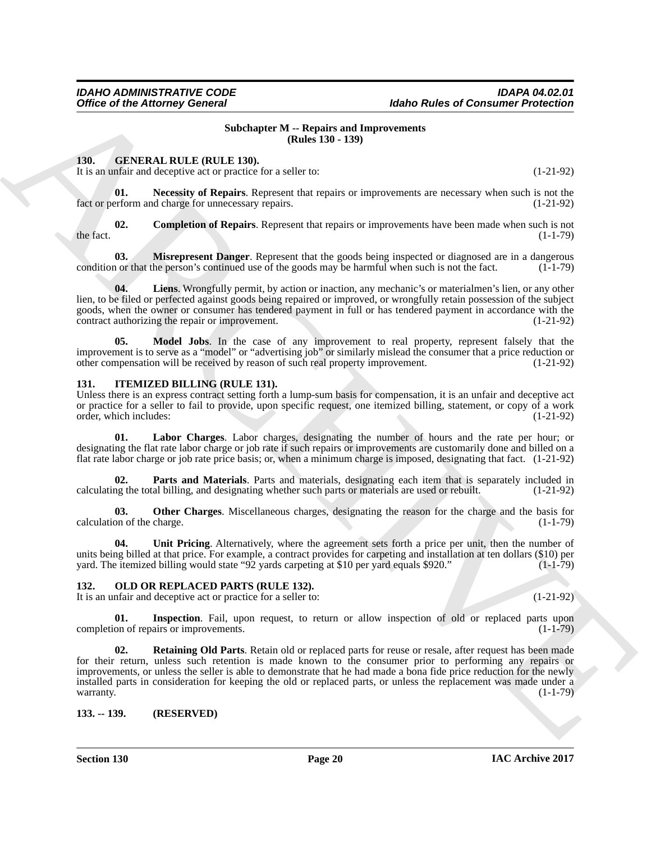#### <span id="page-19-15"></span>**Subchapter M -- Repairs and Improvements (Rules 130 - 139)**

#### <span id="page-19-0"></span>**130. GENERAL RULE (RULE 130).**

<span id="page-19-8"></span>It is an unfair and deceptive act or practice for a seller to: (1-21-92)

**01.** Necessity of Repairs. Represent that repairs or improvements are necessary when such is not the erform and charge for unnecessary repairs. (1-21-92) fact or perform and charge for unnecessary repairs.

<span id="page-19-4"></span>**02. Completion of Repairs**. Represent that repairs or improvements have been made when such is not (1-1-79) the fact.  $(1-1-79)$ 

<span id="page-19-6"></span>**03. Misrepresent Danger**. Represent that the goods being inspected or diagnosed are in a dangerous nor that the person's continued use of the goods may be harmful when such is not the fact. (1-1-79) condition or that the person's continued use of the goods may be harmful when such is not the fact.

<span id="page-19-5"></span>**04. Liens**. Wrongfully permit, by action or inaction, any mechanic's or materialmen's lien, or any other lien, to be filed or perfected against goods being repaired or improved, or wrongfully retain possession of the subject goods, when the owner or consumer has tendered payment in full or has tendered payment in accordance with the contract authorizing the repair or improvement. (1-21-92) contract authorizing the repair or improvement.

<span id="page-19-7"></span>**05. Model Jobs**. In the case of any improvement to real property, represent falsely that the improvement is to serve as a "model" or "advertising job" or similarly mislead the consumer that a price reduction or other compensation will be received by reason of such real property improvement. (1-21-92) other compensation will be received by reason of such real property improvement.

#### <span id="page-19-1"></span>**131. ITEMIZED BILLING (RULE 131).**

Unless there is an express contract setting forth a lump-sum basis for compensation, it is an unfair and deceptive act or practice for a seller to fail to provide, upon specific request, one itemized billing, statement, or copy of a work order, which includes: (1-21-92) order, which includes:

<span id="page-19-9"></span>**01. Labor Charges**. Labor charges, designating the number of hours and the rate per hour; or designating the flat rate labor charge or job rate if such repairs or improvements are customarily done and billed on a flat rate labor charge or job rate price basis; or, when a minimum charge is imposed, designating that fact. (1-21-92)

<span id="page-19-11"></span>**02. Parts and Materials**. Parts and materials, designating each item that is separately included in ng the total billing, and designating whether such parts or materials are used or rebuilt. (1-21-92) calculating the total billing, and designating whether such parts or materials are used or rebuilt.

<span id="page-19-10"></span>**03. Other Charges**. Miscellaneous charges, designating the reason for the charge and the basis for  $\alpha$  calculation of the charge.  $(1-1-79)$ 

<span id="page-19-12"></span>**04. Unit Pricing**. Alternatively, where the agreement sets forth a price per unit, then the number of units being billed at that price. For example, a contract provides for carpeting and installation at ten dollars (\$10) per yard. The itemized billing would state "92 yards carpeting at \$10 per yard equals \$920." (1-1-79)

#### <span id="page-19-2"></span>**132. OLD OR REPLACED PARTS (RULE 132).**

It is an unfair and deceptive act or practice for a seller to: (1-21-92)

<span id="page-19-14"></span><span id="page-19-13"></span>**01.** Inspection. Fail, upon request, to return or allow inspection of old or replaced parts upon on of reparts or improvements. completion of repairs or improvements.

Office of the Attorney General<br>
ARCHIVE VIEW University of Law Consumer of the Community Principal Consumer (Eds.) 139<br>
1.30.<br>
1.31. GIVENS ALL REUS (REUS UN), 129, 129<br>
1.31. GIVENENT REUS UNDER SURVEY VIEW (EDS.) 129, 1 **02. Retaining Old Parts**. Retain old or replaced parts for reuse or resale, after request has been made for their return, unless such retention is made known to the consumer prior to performing any repairs or improvements, or unless the seller is able to demonstrate that he had made a bona fide price reduction for the newly installed parts in consideration for keeping the old or replaced parts, or unless the replacement was made under a warranty.  $(1-1-79)$ 

<span id="page-19-3"></span>**133. -- 139. (RESERVED)**

**Section 130 Page 20**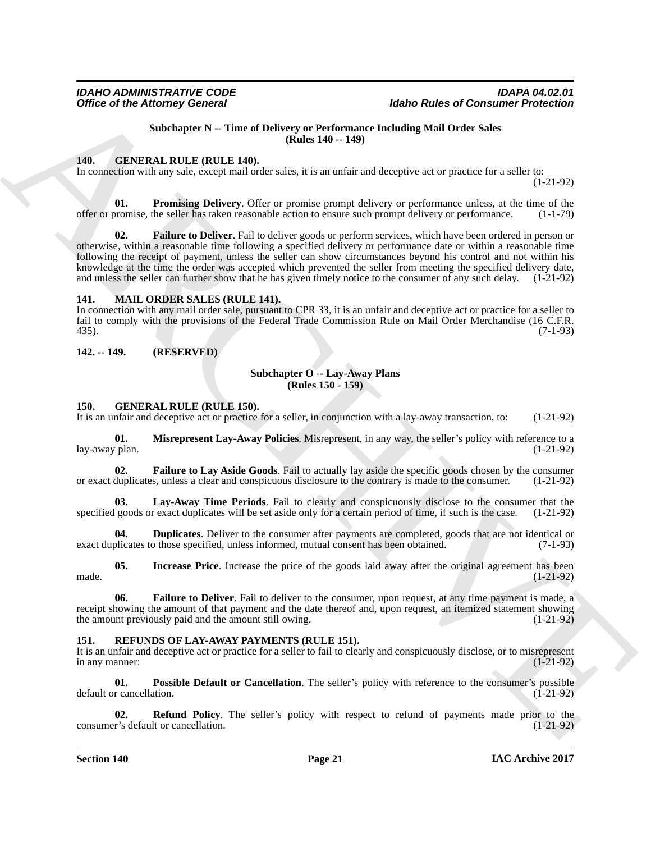#### <span id="page-20-16"></span><span id="page-20-11"></span>**Subchapter N -- Time of Delivery or Performance Including Mail Order Sales (Rules 140 -- 149)**

#### <span id="page-20-0"></span>**140. GENERAL RULE (RULE 140).**

In connection with any sale, except mail order sales, it is an unfair and deceptive act or practice for a seller to:

(1-21-92)

<span id="page-20-6"></span>**01. Promising Delivery**. Offer or promise prompt delivery or performance unless, at the time of the offer or promise, the seller has taken reasonable action to ensure such prompt delivery or performance. (1-1-79)

Office of the Attorney General<br>
Make Rules and Constant Principal and Order Sales and Constant Principal and Order Sales and Constant Principal and Constant Principal and Constant Principal and Constant Constant Constant **Failure to Deliver.** Fail to deliver goods or perform services, which have been ordered in person or otherwise, within a reasonable time following a specified delivery or performance date or within a reasonable time following the receipt of payment, unless the seller can show circumstances beyond his control and not within his knowledge at the time the order was accepted which prevented the seller from meeting the specified delivery date, and unless the seller can further show that he has given timely notice to the consumer of any such delay. (1-21-92)

#### <span id="page-20-13"></span><span id="page-20-1"></span>**141. MAIL ORDER SALES (RULE 141).**

In connection with any mail order sale, pursuant to CPR 33, it is an unfair and deceptive act or practice for a seller to fail to comply with the provisions of the Federal Trade Commission Rule on Mail Order Merchandise (16 C.F.R. 435). 435). (7-1-93)

<span id="page-20-2"></span>**142. -- 149. (RESERVED)**

#### <span id="page-20-12"></span>**Subchapter O -- Lay-Away Plans (Rules 150 - 159)**

#### <span id="page-20-3"></span>**150. GENERAL RULE (RULE 150).**

It is an unfair and deceptive act or practice for a seller, in conjunction with a lay-away transaction, to: (1-21-92)

<span id="page-20-10"></span>**01. Misrepresent Lay-Away Policies**. Misrepresent, in any way, the seller's policy with reference to a  $\alpha$  plan. (1-21-92) lay-away plan.

<span id="page-20-7"></span>**Failure to Lay Aside Goods.** Fail to actually lay aside the specific goods chosen by the consumer or exact duplicates, unless a clear and conspicuous disclosure to the contrary is made to the consumer. (1-21-92)

<span id="page-20-9"></span>**03.** Lay-Away Time Periods. Fail to clearly and conspicuously disclose to the consumer that the goods or exact duplicates will be set aside only for a certain period of time, if such is the case. (1-21-92) specified goods or exact duplicates will be set aside only for a certain period of time, if such is the case.

<span id="page-20-5"></span>**04. Duplicates**. Deliver to the consumer after payments are completed, goods that are not identical or blicates to those specified, unless informed, mutual consent has been obtained. (7-1-93) exact duplicates to those specified, unless informed, mutual consent has been obtained.

<span id="page-20-8"></span>**05.** Increase Price. Increase the price of the goods laid away after the original agreement has been (1-21-92) made.  $(1-21-92)$ 

**06. Failure to Deliver**. Fail to deliver to the consumer, upon request, at any time payment is made, a receipt showing the amount of that payment and the date thereof and, upon request, an itemized statement showing the amount previously paid and the amount still owing. (1-21-92)

#### <span id="page-20-4"></span>**151. REFUNDS OF LAY-AWAY PAYMENTS (RULE 151).**

It is an unfair and deceptive act or practice for a seller to fail to clearly and conspicuously disclose, or to misrepresent in any manner:  $(1-21-92)$ 

<span id="page-20-14"></span>**01. Possible Default or Cancellation**. The seller's policy with reference to the consumer's possible default or cancellation.

<span id="page-20-15"></span>**02. Refund Policy**. The seller's policy with respect to refund of payments made prior to the r's default or cancellation. (1-21-92) consumer's default or cancellation.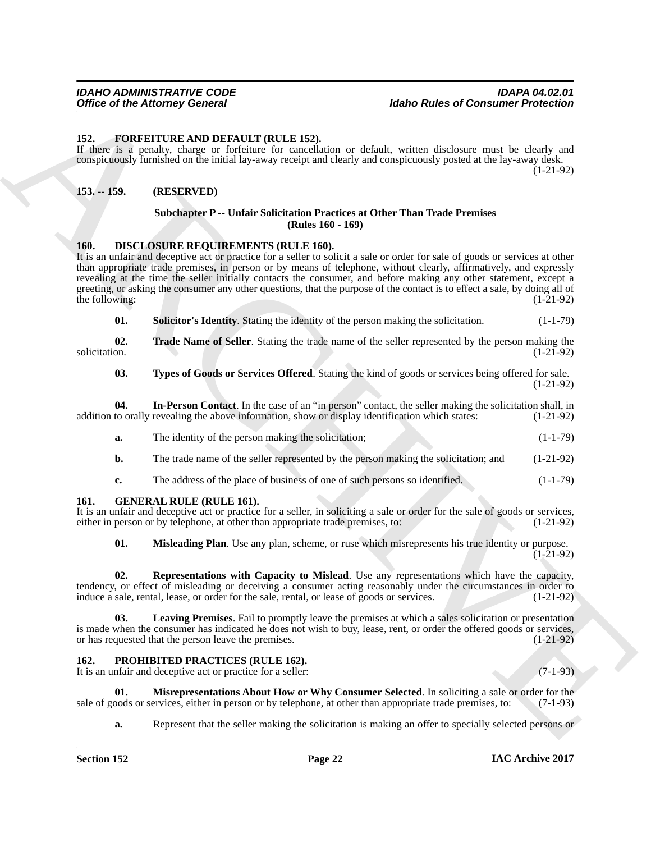#### <span id="page-21-9"></span><span id="page-21-0"></span>**152. FORFEITURE AND DEFAULT (RULE 152).**

If there is a penalty, charge or forfeiture for cancellation or default, written disclosure must be clearly and conspicuously furnished on the initial lay-away receipt and clearly and conspicuously posted at the lay-away desk. (1-21-92)

#### <span id="page-21-1"></span>**153. -- 159. (RESERVED)**

#### <span id="page-21-14"></span>**Subchapter P -- Unfair Solicitation Practices at Other Than Trade Premises (Rules 160 - 169)**

#### <span id="page-21-2"></span>**160. DISCLOSURE REQUIREMENTS (RULE 160).**

Office of the Attorney General<br>
152. FORETTI (ICLE 143).<br>
1620s Photography Protection Attaches the Contribute of the state of the state of the state of the state of the<br>
153. F. S. P. S. P. S. P. S. P. S. P. S. P. S. P. It is an unfair and deceptive act or practice for a seller to solicit a sale or order for sale of goods or services at other than appropriate trade premises, in person or by means of telephone, without clearly, affirmatively, and expressly revealing at the time the seller initially contacts the consumer, and before making any other statement, except a greeting, or asking the consumer any other questions, that the purpose of the contact is to effect a sale, by doing all of the following:  $(1-21-92)$ 

<span id="page-21-7"></span><span id="page-21-6"></span>**01. Solicitor's Identity**. Stating the identity of the person making the solicitation. (1-1-79)

**02.** Trade Name of Seller. Stating the trade name of the seller represented by the person making the solicitation. (1-21-92) solicitation.  $(1-21-92)$ 

<span id="page-21-8"></span><span id="page-21-5"></span>**03. Types of Goods or Services Offered**. Stating the kind of goods or services being offered for sale. (1-21-92)

**04.** In-Person Contact. In the case of an "in person" contact, the seller making the solicitation shall, in to orally revealing the above information, show or display identification which states: (1-21-92) addition to orally revealing the above information, show or display identification which states:

| а. | The identity of the person making the solicitation;                                 | $(1-1-79)$  |
|----|-------------------------------------------------------------------------------------|-------------|
| b. | The trade name of the seller represented by the person making the solicitation; and | $(1-21-92)$ |

# **c.** The address of the place of business of one of such persons so identified. (1-1-79)

#### <span id="page-21-3"></span>**161. GENERAL RULE (RULE 161).**

It is an unfair and deceptive act or practice for a seller, in soliciting a sale or order for the sale of goods or services, either in person or by telephone, at other than appropriate trade premises, to: (1-21-92) either in person or by telephone, at other than appropriate trade premises, to:

<span id="page-21-12"></span><span id="page-21-11"></span><span id="page-21-10"></span>**01. Misleading Plan**. Use any plan, scheme, or ruse which misrepresents his true identity or purpose. (1-21-92)

**02. Representations with Capacity to Mislead**. Use any representations which have the capacity, tendency, or effect of misleading or deceiving a consumer acting reasonably under the circumstances in order to induce a sale, rental, lease, or order for the sale, rental, or lease of goods or services. (1-21-92)

**03. Leaving Premises**. Fail to promptly leave the premises at which a sales solicitation or presentation is made when the consumer has indicated he does not wish to buy, lease, rent, or order the offered goods or services, or has requested that the person leave the premises. (1-21-92)

#### <span id="page-21-4"></span>**162. PROHIBITED PRACTICES (RULE 162).**

It is an unfair and deceptive act or practice for a seller: (7-1-93)

**Misrepresentations About How or Why Consumer Selected**. In soliciting a sale or order for the ervices, either in person or by telephone, at other than appropriate trade premises, to: (7-1-93) sale of goods or services, either in person or by telephone, at other than appropriate trade premises, to:

<span id="page-21-13"></span>**a.** Represent that the seller making the solicitation is making an offer to specially selected persons or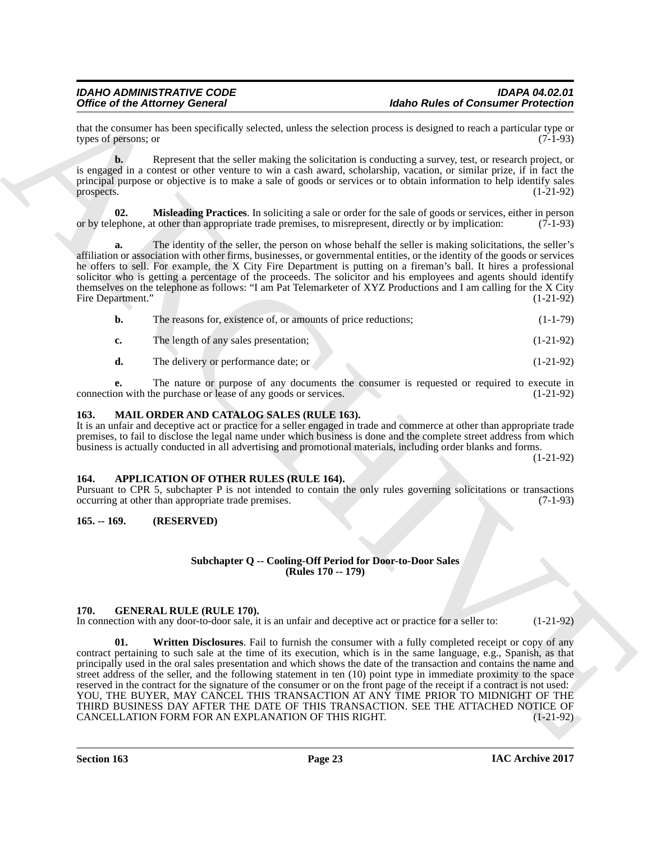that the consumer has been specifically selected, unless the selection process is designed to reach a particular type or types of persons: or (7-1-93) types of persons; or

**b.** Represent that the seller making the solicitation is conducting a survey, test, or research project, or is engaged in a contest or other venture to win a cash award, scholarship, vacation, or similar prize, if in fact the principal purpose or objective is to make a sale of goods or services or to obtain information to help identify sales<br>(1-21-92) prospects.  $(1-21-92)$ 

<span id="page-22-8"></span>**02. Misleading Practices**. In soliciting a sale or order for the sale of goods or services, either in person or by telephone, at other than appropriate trade premises, to misrepresent, directly or by implication: (7-1-93)

**a.** The identity of the seller, the person on whose behalf the seller is making solicitations, the seller's affiliation or association with other firms, businesses, or governmental entities, or the identity of the goods or services he offers to sell. For example, the X City Fire Department is putting on a fireman's ball. It hires a professional solicitor who is getting a percentage of the proceeds. The solicitor and his employees and agents should identify themselves on the telephone as follows: "I am Pat Telemarketer of XYZ Productions and I am calling for the X City<br>Fire Department." (1-21-92) Fire Department."

| b.            | The reasons for, existence of, or amounts of price reductions; | $(1 - 1 - 79)$ |
|---------------|----------------------------------------------------------------|----------------|
| $c_{\bullet}$ | The length of any sales presentation;                          | $(1-21-92)$    |
| d.            | The delivery or performance date; or                           | $(1-21-92)$    |

**e.** The nature or purpose of any documents the consumer is requested or required to execute in on with the purchase or lease of any goods or services. (1-21-92) connection with the purchase or lease of any goods or services.

#### <span id="page-22-7"></span><span id="page-22-0"></span>**163. MAIL ORDER AND CATALOG SALES (RULE 163).**

It is an unfair and deceptive act or practice for a seller engaged in trade and commerce at other than appropriate trade premises, to fail to disclose the legal name under which business is done and the complete street address from which business is actually conducted in all advertising and promotional materials, including order blanks and forms.

(1-21-92)

#### <span id="page-22-4"></span><span id="page-22-1"></span>**164. APPLICATION OF OTHER RULES (RULE 164).**

Pursuant to CPR 5, subchapter P is not intended to contain the only rules governing solicitations or transactions occurring at other than appropriate trade premises. (7-1-93) occurring at other than appropriate trade premises.

#### <span id="page-22-2"></span>**165. -- 169. (RESERVED)**

#### <span id="page-22-5"></span>**Subchapter Q -- Cooling-Off Period for Door-to-Door Sales (Rules 170 -- 179)**

#### <span id="page-22-3"></span>**170. GENERAL RULE (RULE 170).**

<span id="page-22-6"></span>In connection with any door-to-door sale, it is an unfair and deceptive act or practice for a seller to: (1-21-92)

One of the Altons Consent at the state of the Altons and Consent at the State of the Altons and Consent at the State of the State of the State of the State of the State of the State of the State of the State of the State **Written Disclosures**. Fail to furnish the consumer with a fully completed receipt or copy of any contract pertaining to such sale at the time of its execution, which is in the same language, e.g., Spanish, as that principally used in the oral sales presentation and which shows the date of the transaction and contains the name and street address of the seller, and the following statement in ten (10) point type in immediate proximity to the space reserved in the contract for the signature of the consumer or on the front page of the receipt if a contract is not used: YOU, THE BUYER, MAY CANCEL THIS TRANSACTION AT ANY TIME PRIOR TO MIDNIGHT OF THE THIRD BUSINESS DAY AFTER THE DATE OF THIS TRANSACTION. SEE THE ATTACHED NOTICE OF CANCELLATION FORM FOR AN EXPLANATION OF THIS RIGHT. (1-21-92) CANCELLATION FORM FOR AN EXPLANATION OF THIS RIGHT.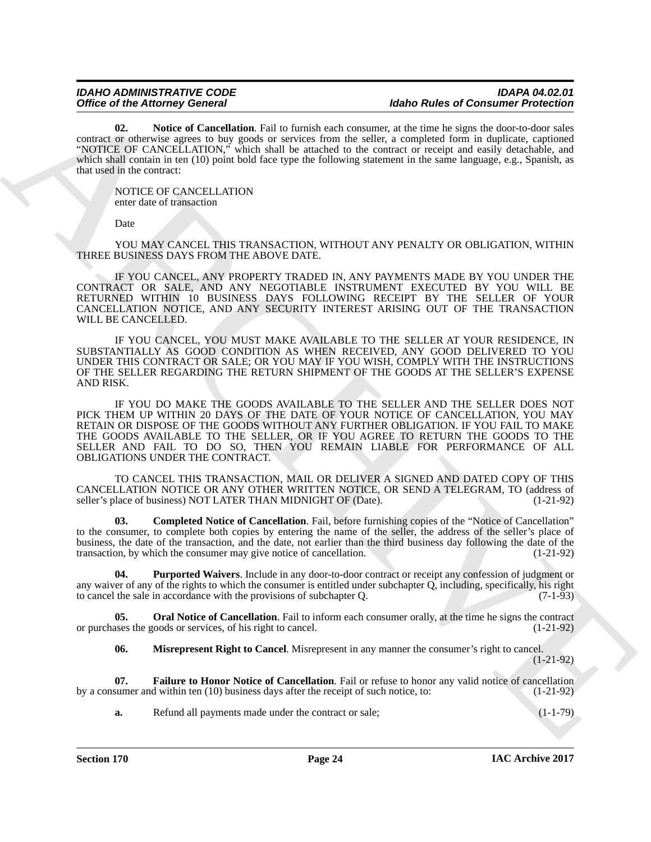<span id="page-23-3"></span>**02. Notice of Cancellation**. Fail to furnish each consumer, at the time he signs the door-to-door sales contract or otherwise agrees to buy goods or services from the seller, a completed form in duplicate, captioned "NOTICE OF CANCELLATION," which shall be attached to the contract or receipt and easily detachable, and which shall contain in ten (10) point bold face type the following statement in the same language, e.g., Spanish, as that used in the contract:

NOTICE OF CANCELLATION enter date of transaction

Date

YOU MAY CANCEL THIS TRANSACTION, WITHOUT ANY PENALTY OR OBLIGATION, WITHIN THREE BUSINESS DAYS FROM THE ABOVE DATE.

IF YOU CANCEL, ANY PROPERTY TRADED IN, ANY PAYMENTS MADE BY YOU UNDER THE CONTRACT OR SALE, AND ANY NEGOTIABLE INSTRUMENT EXECUTED BY YOU WILL BE RETURNED WITHIN 10 BUSINESS DAYS FOLLOWING RECEIPT BY THE SELLER OF YOUR CANCELLATION NOTICE, AND ANY SECURITY INTEREST ARISING OUT OF THE TRANSACTION WILL BE CANCELLED.

IF YOU CANCEL, YOU MUST MAKE AVAILABLE TO THE SELLER AT YOUR RESIDENCE, IN SUBSTANTIALLY AS GOOD CONDITION AS WHEN RECEIVED, ANY GOOD DELIVERED TO YOU UNDER THIS CONTRACT OR SALE; OR YOU MAY IF YOU WISH, COMPLY WITH THE INSTRUCTIONS OF THE SELLER REGARDING THE RETURN SHIPMENT OF THE GOODS AT THE SELLER'S EXPENSE AND RISK.

Office of Haracay Gonesia<br>
Can Absorption Real and the Institute of Haracay Malo Real and School Haracay (1998)<br>
ARCHIVES CONTROL TO provide the School Haracay (1998) and the School Haracay Control Haracay (1998) and Scho IF YOU DO MAKE THE GOODS AVAILABLE TO THE SELLER AND THE SELLER DOES NOT PICK THEM UP WITHIN 20 DAYS OF THE DATE OF YOUR NOTICE OF CANCELLATION, YOU MAY RETAIN OR DISPOSE OF THE GOODS WITHOUT ANY FURTHER OBLIGATION. IF YOU FAIL TO MAKE THE GOODS AVAILABLE TO THE SELLER, OR IF YOU AGREE TO RETURN THE GOODS TO THE SELLER AND FAIL TO DO SO, THEN YOU REMAIN LIABLE FOR PERFORMANCE OF ALL OBLIGATIONS UNDER THE CONTRACT.

TO CANCEL THIS TRANSACTION, MAIL OR DELIVER A SIGNED AND DATED COPY OF THIS CANCELLATION NOTICE OR ANY OTHER WRITTEN NOTICE, OR SEND A TELEGRAM, TO (address of seller's place of business) NOT LATER THAN MIDNIGHT OF (Date). (1-21-92) seller's place of business) NOT LATER THAN MIDNIGHT OF (Date).

<span id="page-23-0"></span>**03. Completed Notice of Cancellation**. Fail, before furnishing copies of the "Notice of Cancellation" to the consumer, to complete both copies by entering the name of the seller, the address of the seller's place of business, the date of the transaction, and the date, not earlier than the third business day following the date of the transaction, by which the consumer may give notice of cancellation. (1-21-92)

<span id="page-23-5"></span>**04. Purported Waivers**. Include in any door-to-door contract or receipt any confession of judgment or any waiver of any of the rights to which the consumer is entitled under subchapter  $Q$ , including, specifically, his right to cancel the sale in accordance with the provisions of subchapter  $Q$ . (7-1-93) to cancel the sale in accordance with the provisions of subchapter  $Q$ .

**05.** Oral Notice of Cancellation. Fail to inform each consumer orally, at the time he signs the contract or purchases the goods or services, of his right to cancel. (1-21-92)

<span id="page-23-4"></span><span id="page-23-2"></span><span id="page-23-1"></span>**06. Misrepresent Right to Cancel**. Misrepresent in any manner the consumer's right to cancel. (1-21-92)

**07. Failure to Honor Notice of Cancellation**. Fail or refuse to honor any valid notice of cancellation by a consumer and within ten (10) business days after the receipt of such notice, to: (1-21-92)

**a.** Refund all payments made under the contract or sale; (1-1-79)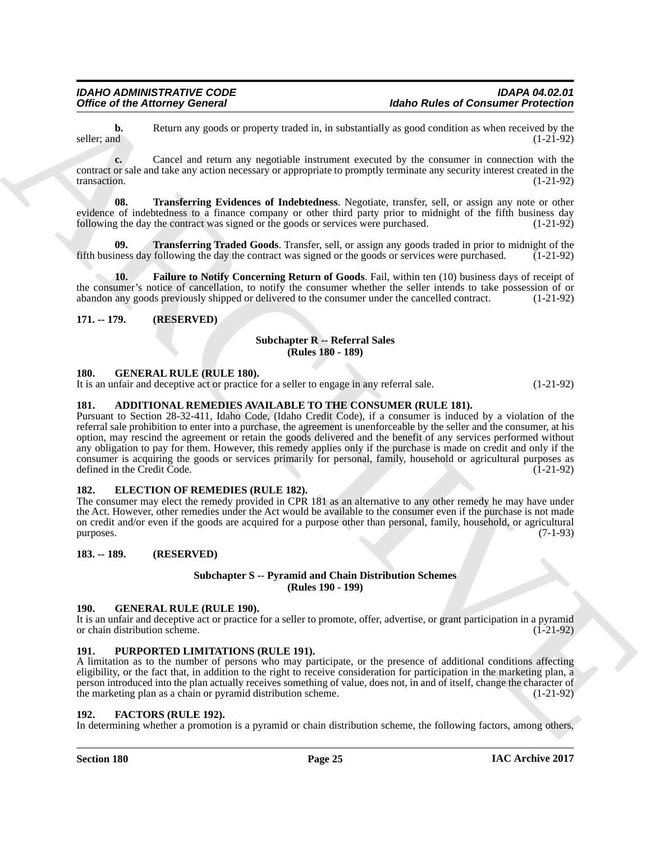**b.** Return any goods or property traded in, in substantially as good condition as when received by the seller; and  $(1-21-92)$ seller; and  $(1-21-92)$ 

**c.** Cancel and return any negotiable instrument executed by the consumer in connection with the contract or sale and take any action necessary or appropriate to promptly terminate any security interest created in the transaction. (1-21-92)

<span id="page-24-11"></span>**08. Transferring Evidences of Indebtedness**. Negotiate, transfer, sell, or assign any note or other evidence of indebtedness to a finance company or other third party prior to midnight of the fifth business day following the day the contract was signed or the goods or services were purchased. (1-21-92)

<span id="page-24-12"></span>**Transferring Traded Goods**. Transfer, sell, or assign any goods traded in prior to midnight of the following the day the contract was signed or the goods or services were purchased. (1-21-92) fifth business day following the day the contract was signed or the goods or services were purchased.

<span id="page-24-10"></span>**10. Failure to Notify Concerning Return of Goods**. Fail, within ten (10) business days of receipt of the consumer's notice of cancellation, to notify the consumer whether the seller intends to take possession of or<br>abandon any goods previously shipped or delivered to the consumer under the cancelled contract. (1-21-92) abandon any goods previously shipped or delivered to the consumer under the cancelled contract.

<span id="page-24-0"></span>**171. -- 179. (RESERVED)**

#### <span id="page-24-17"></span>**Subchapter R -- Referral Sales (Rules 180 - 189)**

#### <span id="page-24-14"></span><span id="page-24-1"></span>**180. GENERAL RULE (RULE 180).**

It is an unfair and deceptive act or practice for a seller to engage in any referral sale. (1-21-92)

# <span id="page-24-8"></span><span id="page-24-2"></span>**181. ADDITIONAL REMEDIES AVAILABLE TO THE CONSUMER (RULE 181).**

Office of the Attorney General<br>
and the Matter and the Matter Schedule in the steaming by proposition and the steaming proposition of the Matter Schedule in the Matter Schedule in the Matter Schedule in the Matter Schedul Pursuant to Section 28-32-411, Idaho Code, (Idaho Credit Code), if a consumer is induced by a violation of the referral sale prohibition to enter into a purchase, the agreement is unenforceable by the seller and the consumer, at his option, may rescind the agreement or retain the goods delivered and the benefit of any services performed without any obligation to pay for them. However, this remedy applies only if the purchase is made on credit and only if the consumer is acquiring the goods or services primarily for personal, family, household or agricultural purposes as defined in the Credit Code. (1-21-92) defined in the Credit Code.

#### <span id="page-24-9"></span><span id="page-24-3"></span>**182. ELECTION OF REMEDIES (RULE 182).**

The consumer may elect the remedy provided in CPR 181 as an alternative to any other remedy he may have under the Act. However, other remedies under the Act would be available to the consumer even if the purchase is not made on credit and/or even if the goods are acquired for a purpose other than personal, family, household, or agricultural  $p$ urposes.  $(7-1-93)$ 

#### <span id="page-24-4"></span>**183. -- 189. (RESERVED)**

#### <span id="page-24-16"></span>**Subchapter S -- Pyramid and Chain Distribution Schemes (Rules 190 - 199)**

#### <span id="page-24-13"></span><span id="page-24-5"></span>**190. GENERAL RULE (RULE 190).**

It is an unfair and deceptive act or practice for a seller to promote, offer, advertise, or grant participation in a pyramid or chain distribution scheme. or chain distribution scheme.

#### <span id="page-24-15"></span><span id="page-24-6"></span>**191. PURPORTED LIMITATIONS (RULE 191).**

A limitation as to the number of persons who may participate, or the presence of additional conditions affecting eligibility, or the fact that, in addition to the right to receive consideration for participation in the marketing plan, a person introduced into the plan actually receives something of value, does not, in and of itself, change the character of the marketing plan as a chain or pyramid distribution scheme. (1-21-92) the marketing plan as a chain or pyramid distribution scheme.

#### <span id="page-24-7"></span>**192. FACTORS (RULE 192).**

In determining whether a promotion is a pyramid or chain distribution scheme, the following factors, among others,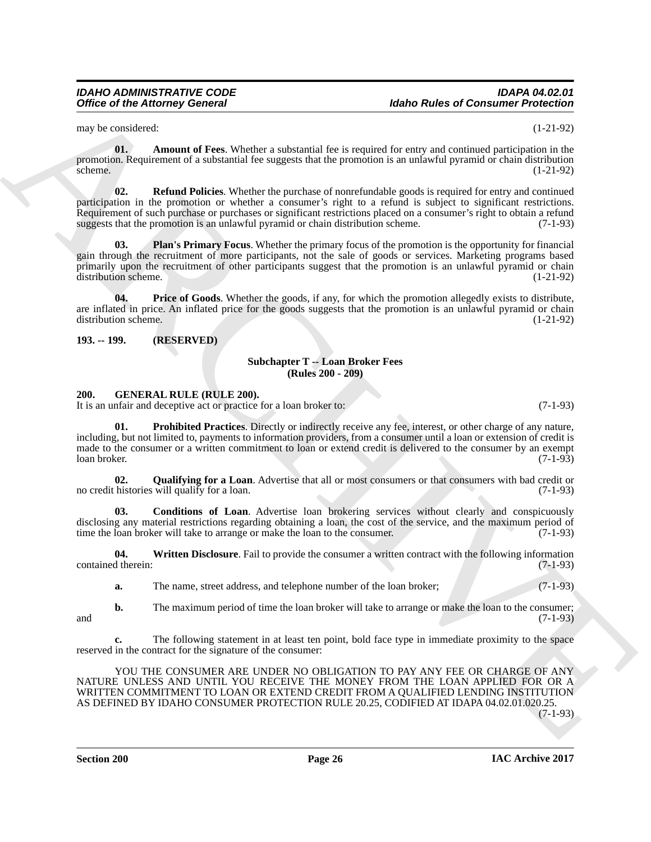#### *IDAHO ADMINISTRATIVE CODE IDAPA 04.02.01* **Idaho Rules of Consumer Protection**

<span id="page-25-2"></span>may be considered: (1-21-92)

**01. Amount of Fees**. Whether a substantial fee is required for entry and continued participation in the promotion. Requirement of a substantial fee suggests that the promotion is an unlawful pyramid or chain distribution  $s$ cheme.  $(1-21-92)$ 

<span id="page-25-5"></span>**02. Refund Policies**. Whether the purchase of nonrefundable goods is required for entry and continued participation in the promotion or whether a consumer's right to a refund is subject to significant restrictions. Requirement of such purchase or purchases or significant restrictions placed on a consumer's right to obtain a refund suggests that the promotion is an unlawful pyramid or chain distribution scheme. (7-1-93)

<span id="page-25-3"></span>**03. Plan's Primary Focus**. Whether the primary focus of the promotion is the opportunity for financial gain through the recruitment of more participants, not the sale of goods or services. Marketing programs based primarily upon the recruitment of other participants suggest that the promotion is an unlawful pyramid or chain distribution scheme. (1-21-92)

<span id="page-25-4"></span>**04. Price of Goods**. Whether the goods, if any, for which the promotion allegedly exists to distribute, are inflated in price. An inflated price for the goods suggests that the promotion is an unlawful pyramid or chain distribution scheme. (1-21-92)

<span id="page-25-0"></span>**193. -- 199. (RESERVED)**

#### <span id="page-25-10"></span>**Subchapter T -- Loan Broker Fees (Rules 200 - 209)**

#### <span id="page-25-1"></span>**200. GENERAL RULE (RULE 200).**

It is an unfair and deceptive act or practice for a loan broker to: (7-1-93)

<span id="page-25-7"></span>**01. Prohibited Practices**. Directly or indirectly receive any fee, interest, or other charge of any nature, including, but not limited to, payments to information providers, from a consumer until a loan or extension of credit is made to the consumer or a written commitment to loan or extend credit is delivered to the consumer by an exempt<br>(7-1-93) loan broker. (7-1-93)

<span id="page-25-8"></span>**02.** Qualifying for a Loan. Advertise that all or most consumers or that consumers with bad credit or histories will qualify for a loan.  $(7-1-93)$ no credit histories will qualify for a loan.

<span id="page-25-6"></span>**03. Conditions of Loan**. Advertise loan brokering services without clearly and conspicuously disclosing any material restrictions regarding obtaining a loan, the cost of the service, and the maximum period of time the loan broker will take to arrange or make the loan to the consumer. (7-1-93) time the loan broker will take to arrange or make the loan to the consumer.

**04.** Written Disclosure. Fail to provide the consumer a written contract with the following information d therein: (7-1-93) contained therein:

<span id="page-25-9"></span>**a.** The name, street address, and telephone number of the loan broker; (7-1-93)

**b.** The maximum period of time the loan broker will take to arrange or make the loan to the consumer; (7-1-93) and  $(7-1-93)$ 

**c.** The following statement in at least ten point, bold face type in immediate proximity to the space reserved in the contract for the signature of the consumer:

Office of the Attorney General<br>
any terms of the Windows substitute in a material for a registed for each attention of Principal Photon (21-21-3)<br>
group and Content of Figure 1 which the transmit of the approximation in c YOU THE CONSUMER ARE UNDER NO OBLIGATION TO PAY ANY FEE OR CHARGE OF ANY NATURE UNLESS AND UNTIL YOU RECEIVE THE MONEY FROM THE LOAN APPLIED FOR OR A WRITTEN COMMITMENT TO LOAN OR EXTEND CREDIT FROM A QUALIFIED LENDING INSTITUTION AS DEFINED BY IDAHO CONSUMER PROTECTION RULE 20.25, CODIFIED AT IDAPA 04.02.01.020.25.

(7-1-93)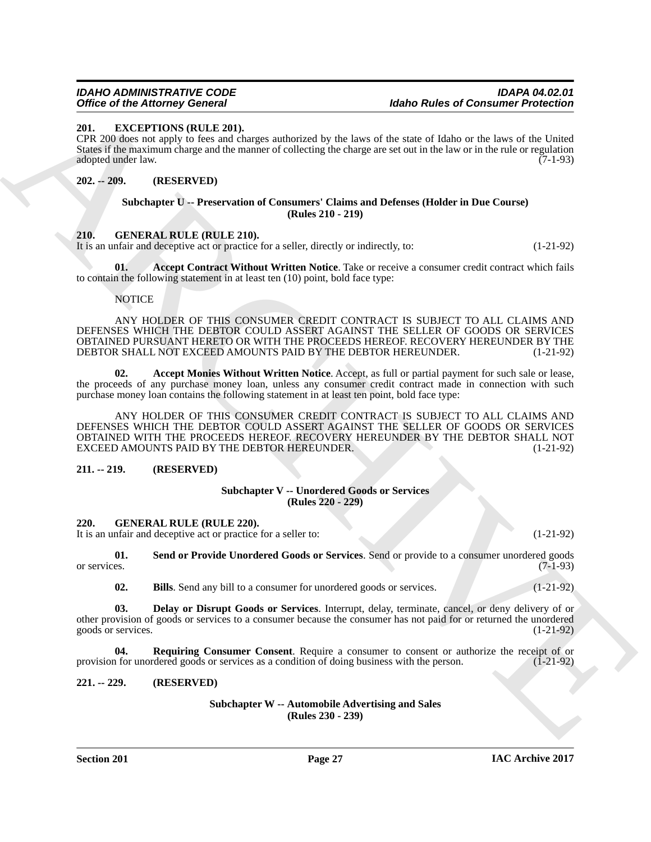#### <span id="page-26-7"></span><span id="page-26-0"></span>**201. EXCEPTIONS (RULE 201).**

CPR 200 does not apply to fees and charges authorized by the laws of the state of Idaho or the laws of the United States if the maximum charge and the manner of collecting the charge are set out in the law or in the rule or regulation adopted under law. adopted under law.

#### <span id="page-26-1"></span>**202. -- 209. (RESERVED)**

#### <span id="page-26-14"></span>**Subchapter U -- Preservation of Consumers' Claims and Defenses (Holder in Due Course) (Rules 210 - 219)**

#### <span id="page-26-2"></span>**210. GENERAL RULE (RULE 210).**

It is an unfair and deceptive act or practice for a seller, directly or indirectly, to: (1-21-92)

**01. Accept Contract Without Written Notice**. Take or receive a consumer credit contract which fails to contain the following statement in at least ten (10) point, bold face type:

#### <span id="page-26-9"></span><span id="page-26-8"></span>NOTICE

ANY HOLDER OF THIS CONSUMER CREDIT CONTRACT IS SUBJECT TO ALL CLAIMS AND DEFENSES WHICH THE DEBTOR COULD ASSERT AGAINST THE SELLER OF GOODS OR SERVICES OBTAINED PURSUANT HERETO OR WITH THE PROCEEDS HEREOF. RECOVERY HEREUNDER BY THE DEBTOR SHALL NOT EXCEED AMOUNTS PAID BY THE DEBTOR HEREUNDER. (1-21-92)

**02. Accept Monies Without Written Notice**. Accept, as full or partial payment for such sale or lease, the proceeds of any purchase money loan, unless any consumer credit contract made in connection with such purchase money loan contains the following statement in at least ten point, bold face type:

Ories of the Attorney Governing the state and state of the Attocheme Principles of Community Principles<br>
2RC, by Constructions (Attack and the state of the state of the state of the state of the state of the state of the ANY HOLDER OF THIS CONSUMER CREDIT CONTRACT IS SUBJECT TO ALL CLAIMS AND DEFENSES WHICH THE DEBTOR COULD ASSERT AGAINST THE SELLER OF GOODS OR SERVICES OBTAINED WITH THE PROCEEDS HEREOF. RECOVERY HEREUNDER BY THE DEBTOR SHALL NOT EXCEED AMOUNTS PAID BY THE DEBTOR HEREUNDER. (1-21-92)

#### <span id="page-26-3"></span>**211. -- 219. (RESERVED)**

#### <span id="page-26-15"></span>**Subchapter V -- Unordered Goods or Services (Rules 220 - 229)**

#### <span id="page-26-4"></span>**220. GENERAL RULE (RULE 220).**

It is an unfair and deceptive act or practice for a seller to: (1-21-92)

**01.** Send or Provide Unordered Goods or Services. Send or provide to a consumer unordered goods or services. (7-1-93) or services. (7-1-93)

<span id="page-26-13"></span><span id="page-26-12"></span><span id="page-26-11"></span><span id="page-26-10"></span>**02. Bills**. Send any bill to a consumer for unordered goods or services. (1-21-92)

**03. Delay or Disrupt Goods or Services**. Interrupt, delay, terminate, cancel, or deny delivery of or other provision of goods or services to a consumer because the consumer has not paid for or returned the unordered goods or services.

**04. Requiring Consumer Consent**. Require a consumer to consent or authorize the receipt of or a for unordered goods or services as a condition of doing business with the person. (1-21-92) provision for unordered goods or services as a condition of doing business with the person.

#### <span id="page-26-5"></span>**221. -- 229. (RESERVED)**

<span id="page-26-6"></span>**Subchapter W -- Automobile Advertising and Sales (Rules 230 - 239)**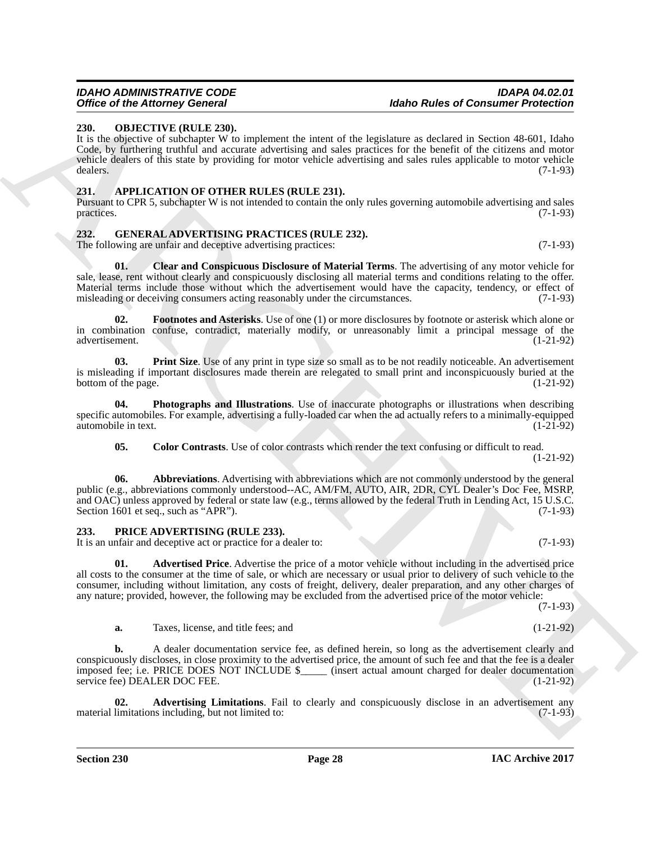# <span id="page-27-13"></span><span id="page-27-0"></span>**230. OBJECTIVE (RULE 230).**

It is the objective of subchapter W to implement the intent of the legislature as declared in Section 48-601, Idaho Code, by furthering truthful and accurate advertising and sales practices for the benefit of the citizens and motor vehicle dealers of this state by providing for motor vehicle advertising and sales rules applicable to motor vehicle dealers. (7-1-93)

# <span id="page-27-4"></span><span id="page-27-1"></span>**231. APPLICATION OF OTHER RULES (RULE 231).**

Pursuant to CPR 5, subchapter W is not intended to contain the only rules governing automobile advertising and sales practices. (7-1-93)

# <span id="page-27-2"></span>**232. GENERAL ADVERTISING PRACTICES (RULE 232).**

The following are unfair and deceptive advertising practices: (7-1-93)

<span id="page-27-8"></span>**01. Clear and Conspicuous Disclosure of Material Terms**. The advertising of any motor vehicle for sale, lease, rent without clearly and conspicuously disclosing all material terms and conditions relating to the offer. Material terms include those without which the advertisement would have the capacity, tendency, or effect of misleading or deceiving consumers acting reasonably under the circumstances. (7-1-93) misleading or deceiving consumers acting reasonably under the circumstances.

<span id="page-27-10"></span>**Footnotes and Asterisks**. Use of one (1) or more disclosures by footnote or asterisk which alone or in combination confuse, contradict, materially modify, or unreasonably limit a principal message of the advertisement. (1-21-92) advertisement.

<span id="page-27-12"></span>**03. Print Size**. Use of any print in type size so small as to be not readily noticeable. An advertisement is misleading if important disclosures made therein are relegated to small print and inconspicuously buried at the bottom of the page. (1-21-92)

**04. Photographs and Illustrations**. Use of inaccurate photographs or illustrations when describing specific automobiles. For example, advertising a fully-loaded car when the ad actually refers to a minimally-equipped automobile in text. (1-21-92)

<span id="page-27-11"></span><span id="page-27-9"></span><span id="page-27-7"></span>**05. Color Contrasts**. Use of color contrasts which render the text confusing or difficult to read. (1-21-92)

Office of the Altomaty Governor Delta Research is the altomatic state of the high state of the basebase of the state of the state of the state of the state of the state of the state of the state of the state of the state **06. Abbreviations**. Advertising with abbreviations which are not commonly understood by the general public (e.g., abbreviations commonly understood--AC, AM/FM, AUTO, AIR, 2DR, CYL Dealer's Doc Fee, MSRP, and OAC) unless approved by federal or state law (e.g., terms allowed by the federal Truth in Lending Act, 15 U.S.C. Section 1601 et seq., such as "APR").  $(7-1-93)$ 

# <span id="page-27-3"></span>**233. PRICE ADVERTISING (RULE 233).**

It is an unfair and deceptive act or practice for a dealer to: (7-1-93)

<span id="page-27-5"></span>**01.** Advertised Price. Advertise the price of a motor vehicle without including in the advertised price all costs to the consumer at the time of sale, or which are necessary or usual prior to delivery of such vehicle to the consumer, including without limitation, any costs of freight, delivery, dealer preparation, and any other charges of any nature; provided, however, the following may be excluded from the advertised price of the motor vehicle:

(7-1-93)

**a.** Taxes, license, and title fees; and  $(1-21-92)$ 

**b.** A dealer documentation service fee, as defined herein, so long as the advertisement clearly and conspicuously discloses, in close proximity to the advertised price, the amount of such fee and that the fee is a dealer imposed fee; i.e. PRICE DOES NOT INCLUDE \$\_\_\_\_\_ (insert actual amount charged for dealer documentation service fee) DEALER DOC FEE. (1-21-92)

<span id="page-27-6"></span>**02. Advertising Limitations**. Fail to clearly and conspicuously disclose in an advertisement any limitations including, but not limited to: (7-1-93) material limitations including, but not limited to:

**Section 230 Page 28**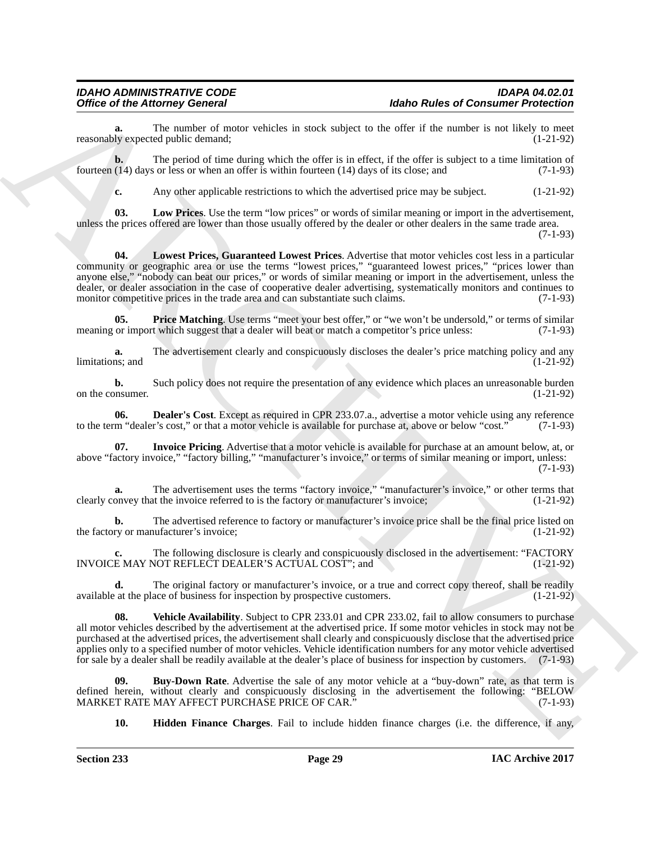The number of motor vehicles in stock subject to the offer if the number is not likely to meet ed public demand;<br>(1-21-92) reasonably expected public demand;

**b.** The period of time during which the offer is in effect, if the offer is subject to a time limitation of fourteen (14) days or less or when an offer is within fourteen (14) days of its close; and (7-1-93)

<span id="page-28-5"></span><span id="page-28-4"></span>**c.** Any other applicable restrictions to which the advertised price may be subject. (1-21-92)

**03. Low Prices**. Use the term "low prices" or words of similar meaning or import in the advertisement, unless the prices offered are lower than those usually offered by the dealer or other dealers in the same trade area.

(7-1-93)

Office of the Alexany Gonesia<br>
State Photos and State the state and state and state and state and state and state and state and state and state and state and state and state and state and state and state and state and sta **04. Lowest Prices, Guaranteed Lowest Prices**. Advertise that motor vehicles cost less in a particular community or geographic area or use the terms "lowest prices," "guaranteed lowest prices," "prices lower than anyone else," "nobody can beat our prices," or words of similar meaning or import in the advertisement, unless the dealer, or dealer association in the case of cooperative dealer advertising, systematically monitors and continues to monitor competitive prices in the trade area and can substantiate such claims. (7-1-93) monitor competitive prices in the trade area and can substantiate such claims.

<span id="page-28-6"></span>**Price Matching**. Use terms "meet your best offer," or "we won't be undersold," or terms of similar t which suggest that a dealer will beat or match a competitor's price unless: (7-1-93) meaning or import which suggest that a dealer will beat or match a competitor's price unless:

**a.** The advertisement clearly and conspicuously discloses the dealer's price matching policy and any ns; and  $(1-21-92)$ limitations; and

**b.** Such policy does not require the presentation of any evidence which places an unreasonable burden onsumer.  $(1-21-92)$ on the consumer.

<span id="page-28-1"></span>**06. Dealer's Cost**. Except as required in CPR 233.07.a., advertise a motor vehicle using any reference m "dealer's cost," or that a motor vehicle is available for purchase at, above or below "cost." (7-1-93) to the term "dealer's cost," or that a motor vehicle is available for purchase at, above or below "cost."

<span id="page-28-3"></span>**Invoice Pricing**. Advertise that a motor vehicle is available for purchase at an amount below, at, or above "factory invoice," "factory billing," "manufacturer's invoice," or terms of similar meaning or import, unless: (7-1-93)

**a.** The advertisement uses the terms "factory invoice," "manufacturer's invoice," or other terms that clearly convey that the invoice referred to is the factory or manufacturer's invoice; (1-21-92)

**b.** The advertised reference to factory or manufacturer's invoice price shall be the final price listed on the factory or manufacturer's invoice; (1-21-92) (1-21-92)

**c.** The following disclosure is clearly and conspicuously disclosed in the advertisement: "FACTORY INVOICE MAY NOT REFLECT DEALER'S ACTUAL COST"; and (1-21-92)

**d.** The original factory or manufacturer's invoice, or a true and correct copy thereof, shall be readily at the place of business for inspection by prospective customers. (1-21-92) available at the place of business for inspection by prospective customers.

<span id="page-28-7"></span>**08. Vehicle Availability**. Subject to CPR 233.01 and CPR 233.02, fail to allow consumers to purchase all motor vehicles described by the advertisement at the advertised price. If some motor vehicles in stock may not be purchased at the advertised prices, the advertisement shall clearly and conspicuously disclose that the advertised price applies only to a specified number of motor vehicles. Vehicle identification numbers for any motor vehicle advertised for sale by a dealer shall be readily available at the dealer's place of business for inspection by customers. (7-1-93)

**09. Buy-Down Rate**. Advertise the sale of any motor vehicle at a "buy-down" rate, as that term is defined herein, without clearly and conspicuously disclosing in the advertisement the following: "BELOW<br>MARKET RATE MAY AFFECT PURCHASE PRICE OF CAR." (7-1-93) MARKET RATE MAY AFFECT PURCHASE PRICE OF CAR.

<span id="page-28-2"></span><span id="page-28-0"></span>**10. Hidden Finance Charges**. Fail to include hidden finance charges (i.e. the difference, if any,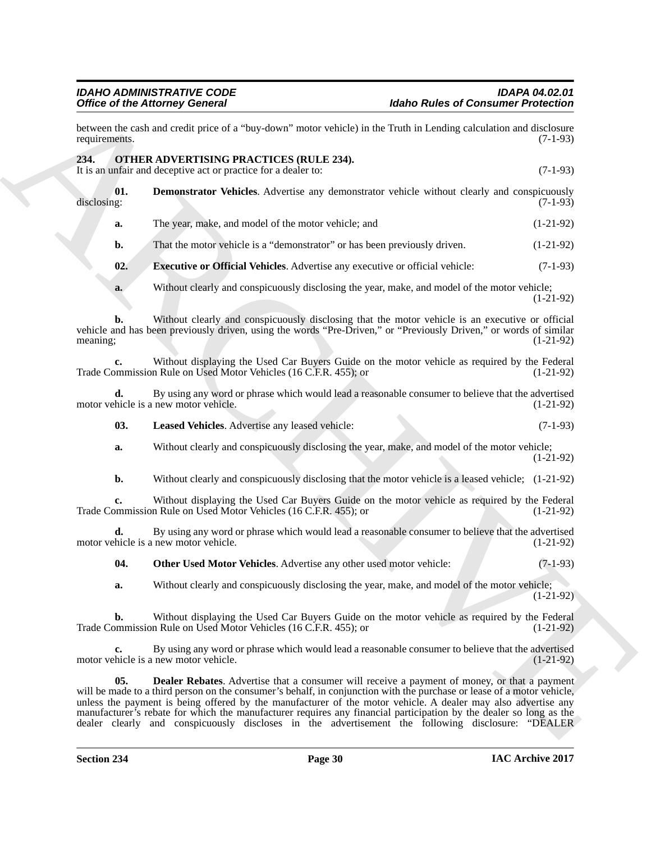<span id="page-29-5"></span><span id="page-29-4"></span><span id="page-29-3"></span><span id="page-29-2"></span><span id="page-29-1"></span><span id="page-29-0"></span>

|                    | <b>Office of the Attorney General</b>                                                                                                                                                                                | <b>Idaho Rules of Consumer Protection</b>                                                                              |             |
|--------------------|----------------------------------------------------------------------------------------------------------------------------------------------------------------------------------------------------------------------|------------------------------------------------------------------------------------------------------------------------|-------------|
| requirements.      | between the cash and credit price of a "buy-down" motor vehicle) in the Truth in Lending calculation and disclosure                                                                                                  |                                                                                                                        | $(7-1-93)$  |
| 234.               | OTHER ADVERTISING PRACTICES (RULE 234).<br>It is an unfair and deceptive act or practice for a dealer to:                                                                                                            |                                                                                                                        | $(7-1-93)$  |
| 01.<br>disclosing: | <b>Demonstrator Vehicles.</b> Advertise any demonstrator vehicle without clearly and conspicuously                                                                                                                   |                                                                                                                        | $(7-1-93)$  |
| a.                 | The year, make, and model of the motor vehicle; and                                                                                                                                                                  |                                                                                                                        | $(1-21-92)$ |
| b.                 | That the motor vehicle is a "demonstrator" or has been previously driven.                                                                                                                                            |                                                                                                                        | $(1-21-92)$ |
| 02.                | <b>Executive or Official Vehicles.</b> Advertise any executive or official vehicle:                                                                                                                                  |                                                                                                                        | $(7-1-93)$  |
| a.                 | Without clearly and conspicuously disclosing the year, make, and model of the motor vehicle;                                                                                                                         |                                                                                                                        | $(1-21-92)$ |
| b.<br>meaning;     | Without clearly and conspicuously disclosing that the motor vehicle is an executive or official<br>vehicle and has been previously driven, using the words "Pre-Driven," or "Previously Driven," or words of similar |                                                                                                                        | $(1-21-92)$ |
| c.                 | Without displaying the Used Car Buyers Guide on the motor vehicle as required by the Federal<br>Trade Commission Rule on Used Motor Vehicles (16 C.F.R. 455); or                                                     |                                                                                                                        | $(1-21-92)$ |
| d.                 | By using any word or phrase which would lead a reasonable consumer to believe that the advertised<br>motor vehicle is a new motor vehicle.                                                                           |                                                                                                                        | $(1-21-92)$ |
| 03.                | Leased Vehicles. Advertise any leased vehicle:                                                                                                                                                                       |                                                                                                                        | $(7-1-93)$  |
| a.                 | Without clearly and conspicuously disclosing the year, make, and model of the motor vehicle;                                                                                                                         |                                                                                                                        | $(1-21-92)$ |
| b.                 | Without clearly and conspicuously disclosing that the motor vehicle is a leased vehicle; (1-21-92)                                                                                                                   |                                                                                                                        |             |
| c.                 | Without displaying the Used Car Buyers Guide on the motor vehicle as required by the Federal<br>Trade Commission Rule on Used Motor Vehicles (16 C.F.R. 455); or                                                     |                                                                                                                        | $(1-21-92)$ |
| d.                 | By using any word or phrase which would lead a reasonable consumer to believe that the advertised<br>motor vehicle is a new motor vehicle.                                                                           |                                                                                                                        | $(1-21-92)$ |
| 04.                | Other Used Motor Vehicles. Advertise any other used motor vehicle:                                                                                                                                                   |                                                                                                                        | $(7-1-93)$  |
| a.                 | Without clearly and conspicuously disclosing the year, make, and model of the motor vehicle;                                                                                                                         |                                                                                                                        | $(1-21-92)$ |
| b.                 | Without displaying the Used Car Buyers Guide on the motor vehicle as required by the Federal<br>Trade Commission Rule on Used Motor Vehicles (16 C.F.R. 455); or                                                     |                                                                                                                        | $(1-21-92)$ |
| c.                 | By using any word or phrase which would lead a reasonable consumer to believe that the advertised<br>motor vehicle is a new motor vehicle.                                                                           |                                                                                                                        | $(1-21-92)$ |
| 05.                | <b>Dealer Rebates.</b> Advertise that a consumer will receive a payment of money, or that a payment                                                                                                                  | will be made to a third person on the consumer's behalf, in conjunction with the purchase or lease of a motor vehicle, |             |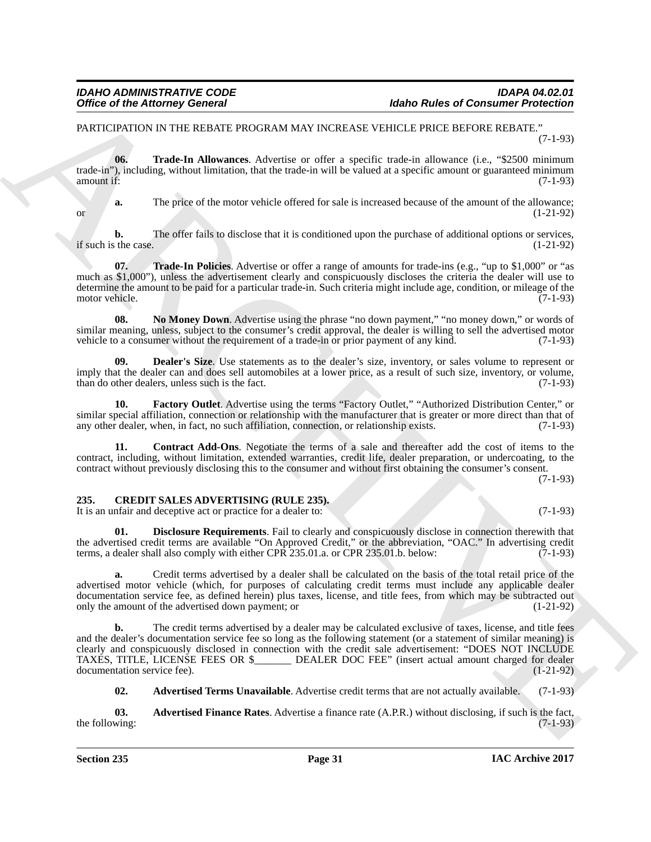#### PARTICIPATION IN THE REBATE PROGRAM MAY INCREASE VEHICLE PRICE BEFORE REBATE." (7-1-93)

<span id="page-30-8"></span>**06. Trade-In Allowances**. Advertise or offer a specific trade-in allowance (i.e., "\$2500 minimum trade-in"), including, without limitation, that the trade-in will be valued at a specific amount or guaranteed minimum<br>amount if: (7-1-93) amount if: (7-1-93)

**a.** The price of the motor vehicle offered for sale is increased because of the amount of the allowance; or  $(1-21-92)$ 

**b.** The offer fails to disclose that it is conditioned upon the purchase of additional options or services, the case. (1-21-92) if such is the case.

<span id="page-30-9"></span>**07. Trade-In Policies**. Advertise or offer a range of amounts for trade-ins (e.g., "up to \$1,000" or "as much as \$1,000"), unless the advertisement clearly and conspicuously discloses the criteria the dealer will use to determine the amount to be paid for a particular trade-in. Such criteria might include age, condition, or mileage of the motor vehicle.

<span id="page-30-7"></span>**08. No Money Down**. Advertise using the phrase "no down payment," "no money down," or words of similar meaning, unless, subject to the consumer's credit approval, the dealer is willing to sell the advertised motor vehicle to a consumer without the requirement of a trade-in or prior payment of any kind. (7-1-93)

<span id="page-30-5"></span>**09. Dealer's Size**. Use statements as to the dealer's size, inventory, or sales volume to represent or imply that the dealer can and does sell automobiles at a lower price, as a result of such size, inventory, or volume, than do other dealers, unless such is the fact. (7-1-93)

<span id="page-30-6"></span>**10. Factory Outlet**. Advertise using the terms "Factory Outlet," "Authorized Distribution Center," or similar special affiliation, connection or relationship with the manufacturer that is greater or more direct than that of any other dealer, when, in fact, no such affiliation, connection, or relationship exists. (7-1-93)

<span id="page-30-4"></span>**11. Contract Add-Ons**. Negotiate the terms of a sale and thereafter add the cost of items to the contract, including, without limitation, extended warranties, credit life, dealer preparation, or undercoating, to the contract without previously disclosing this to the consumer and without first obtaining the consumer's consent.

(7-1-93)

#### <span id="page-30-0"></span>**235. CREDIT SALES ADVERTISING (RULE 235).**

It is an unfair and deceptive act or practice for a dealer to: (7-1-93)

<span id="page-30-3"></span>**01. Disclosure Requirements**. Fail to clearly and conspicuously disclose in connection therewith that the advertised credit terms are available "On Approved Credit," or the abbreviation, "OAC." In advertising credit terms, a dealer shall also comply with either CPR 235.01.a. or CPR 235.01.b. below: (7-1-93)

**a.** Credit terms advertised by a dealer shall be calculated on the basis of the total retail price of the advertised motor vehicle (which, for purposes of calculating credit terms must include any applicable dealer documentation service fee, as defined herein) plus taxes, license, and title fees, from which may be subtracted out only the amount of the advertised down payment; or only the amount of the advertised down payment; or

Office of the Attorney General<br>
PARCHIVENE IN A REPORT PROGRAM MAY INCREAT UP RESERVATION FOR A CONTINUE PROFESSION CONTINUES THE CONTINUES TRANSPORT (1993)<br>
THE TIME IN A REVENUE IN A REPORT PROGRAM MAY INCREAT UP IN EVA **b.** The credit terms advertised by a dealer may be calculated exclusive of taxes, license, and title fees and the dealer's documentation service fee so long as the following statement (or a statement of similar meaning) is clearly and conspicuously disclosed in connection with the credit sale advertisement: "DOES NOT INCLUDE TAXES, TITLE, LICENSE FEES OR \$ **TAXES, THEOR EXECUTE:** LICENSE (insert actual amount charged for dealer documentation service fee). (1-21-92)

<span id="page-30-2"></span><span id="page-30-1"></span>**02. Advertised Terms Unavailable**. Advertise credit terms that are not actually available. (7-1-93)

**03. Advertised Finance Rates**. Advertise a finance rate (A.P.R.) without disclosing, if such is the fact, wing: the following: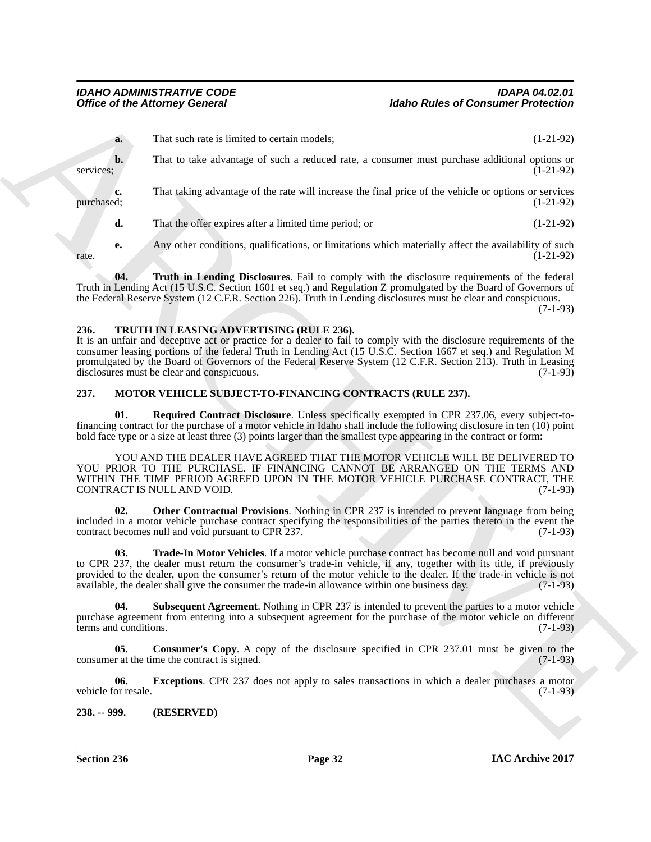|                              | <b>Office of the Attorney General</b>                                                                                                                                                                                                                                                                                                                                                                                                              | <b>Idaho Rules of Consumer Protection</b> |             |
|------------------------------|----------------------------------------------------------------------------------------------------------------------------------------------------------------------------------------------------------------------------------------------------------------------------------------------------------------------------------------------------------------------------------------------------------------------------------------------------|-------------------------------------------|-------------|
| a.                           | That such rate is limited to certain models;                                                                                                                                                                                                                                                                                                                                                                                                       |                                           | $(1-21-92)$ |
| $\mathbf{b}$ .<br>services:  | That to take advantage of such a reduced rate, a consumer must purchase additional options or                                                                                                                                                                                                                                                                                                                                                      |                                           | $(1-21-92)$ |
| c.<br>purchased;             | That taking advantage of the rate will increase the final price of the vehicle or options or services                                                                                                                                                                                                                                                                                                                                              |                                           | $(1-21-92)$ |
| d.                           | That the offer expires after a limited time period; or                                                                                                                                                                                                                                                                                                                                                                                             |                                           | $(1-21-92)$ |
| е.<br>rate.                  | Any other conditions, qualifications, or limitations which materially affect the availability of such                                                                                                                                                                                                                                                                                                                                              |                                           | $(1-21-92)$ |
| 04.                          | Truth in Lending Disclosures. Fail to comply with the disclosure requirements of the federal<br>Truth in Lending Act (15 U.S.C. Section 1601 et seq.) and Regulation Z promulgated by the Board of Governors of<br>the Federal Reserve System (12 C.F.R. Section 226). Truth in Lending disclosures must be clear and conspicuous.                                                                                                                 |                                           | $(7-1-93)$  |
| 236.                         | TRUTH IN LEASING ADVERTISING (RULE 236).<br>It is an unfair and deceptive act or practice for a dealer to fail to comply with the disclosure requirements of the<br>consumer leasing portions of the federal Truth in Lending Act (15 U.S.C. Section 1667 et seq.) and Regulation M<br>promulgated by the Board of Governors of the Federal Reserve System (12 C.F.R. Section 213). Truth in Leasing<br>disclosures must be clear and conspicuous. |                                           | $(7-1-93)$  |
| 237.                         | MOTOR VEHICLE SUBJECT-TO-FINANCING CONTRACTS (RULE 237).                                                                                                                                                                                                                                                                                                                                                                                           |                                           |             |
| 01.                          | Required Contract Disclosure. Unless specifically exempted in CPR 237.06, every subject-to-<br>financing contract for the purchase of a motor vehicle in Idaho shall include the following disclosure in ten (10) point<br>bold face type or a size at least three (3) points larger than the smallest type appearing in the contract or form:                                                                                                     |                                           |             |
|                              | YOU AND THE DEALER HAVE AGREED THAT THE MOTOR VEHICLE WILL BE DELIVERED TO<br>YOU PRIOR TO THE PURCHASE. IF FINANCING CANNOT BE ARRANGED ON THE TERMS AND<br>WITHIN THE TIME PERIOD AGREED UPON IN THE MOTOR VEHICLE PURCHASE CONTRACT, THE<br>CONTRACT IS NULL AND VOID.                                                                                                                                                                          |                                           | $(7-1-93)$  |
| 02.                          | <b>Other Contractual Provisions.</b> Nothing in CPR 237 is intended to prevent language from being<br>included in a motor vehicle purchase contract specifying the responsibilities of the parties thereto in the event the<br>contract becomes null and void pursuant to CPR 237.                                                                                                                                                                 |                                           | $(7-1-93)$  |
| 03.                          | Trade-In Motor Vehicles. If a motor vehicle purchase contract has become null and void pursuant<br>to CPR 237, the dealer must return the consumer's trade-in vehicle, if any, together with its title, if previously<br>provided to the dealer, upon the consumer's return of the motor vehicle to the dealer. If the trade-in vehicle is not<br>available, the dealer shall give the consumer the trade-in allowance within one business day.    |                                           | $(7-1-93)$  |
| 04.<br>terms and conditions. | <b>Subsequent Agreement.</b> Nothing in CPR 237 is intended to prevent the parties to a motor vehicle<br>purchase agreement from entering into a subsequent agreement for the purchase of the motor vehicle on different                                                                                                                                                                                                                           |                                           | $(7-1-93)$  |
| 05.                          | <b>Consumer's Copy.</b> A copy of the disclosure specified in CPR 237.01 must be given to the<br>consumer at the time the contract is signed.                                                                                                                                                                                                                                                                                                      |                                           | $(7-1-93)$  |
| 06.                          | <b>Exceptions.</b> CPR 237 does not apply to sales transactions in which a dealer purchases a motor                                                                                                                                                                                                                                                                                                                                                |                                           | $(7-1-93)$  |
| vehicle for resale.          |                                                                                                                                                                                                                                                                                                                                                                                                                                                    |                                           |             |

#### <span id="page-31-10"></span><span id="page-31-3"></span><span id="page-31-0"></span>**236. TRUTH IN LEASING ADVERTISING (RULE 236).**

#### <span id="page-31-9"></span><span id="page-31-8"></span><span id="page-31-7"></span><span id="page-31-6"></span><span id="page-31-5"></span><span id="page-31-4"></span><span id="page-31-2"></span><span id="page-31-1"></span>**237. MOTOR VEHICLE SUBJECT-TO-FINANCING CONTRACTS (RULE 237).**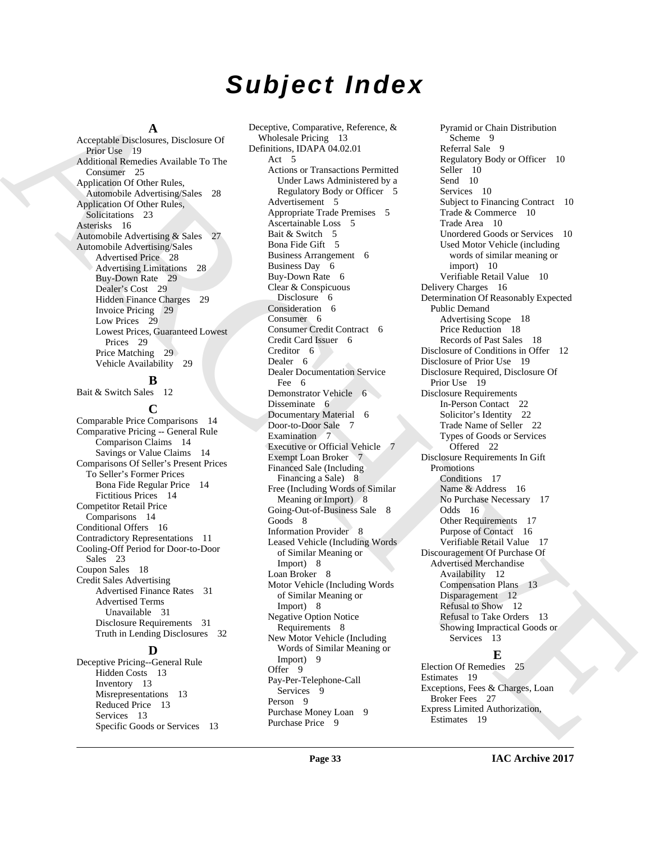# *Subject Index*

#### **A**

Acceptable Disclosures, Disclosure Of Prior Use 19 Additional Remedies Available To The Consumer 25 Application Of Other Rules, Automobile Advertising/Sales 28 Application Of Other Rules, Solicitations 23 Asterisks 16 Automobile Advertising & Sales 27 Automobile Advertising/Sales Advertised Price 28 Advertising Limitations 28 Buy-Down Rate 29 Dealer's Cost 29 Hidden Finance Charges 29 Invoice Pricing 29 Low Prices 29 Lowest Prices, Guaranteed Lowest Prices 29 Price Matching 29 Vehicle Availability 29

### **B**

Bait & Switch Sales 12

### **C**

Comparable Price Comparisons 14 Comparative Pricing -- General Rule Comparison Claims 14 Savings or Value Claims 14 Comparisons Of Seller's Present Prices To Seller's Former Prices Bona Fide Regular Price 14 Fictitious Prices 14 Competitor Retail Price Comparisons 14 Conditional Offers 16 Contradictory Representations 11 Cooling-Off Period for Door-to-Door Sales 23 Coupon Sales 18 Credit Sales Advertising Advertised Finance Rates 31 Advertised Terms Unavailable 31 Disclosure Requirements 31 Truth in Lending Disclosures 32

#### **D**

Deceptive Pricing--General Rule Hidden Costs 13 Inventory 13 Misrepresentations 13 Reduced Price 13 Services 13 Specific Goods or Services 13

[A](#page-18-11)rchives Debute of Departmental Proposition (Figure 2) (and the second of the control of the second of the second of the second of the second of the second of the second of the second of the second of the second of the se Deceptive, Comparative, Reference, & Wholesale Pricing 13 Definitions, IDAPA 04.02.01 Act 5 Actions or Transactions Permitted Under Laws Administered by a Regulatory Body or Officer 5 Advertisement 5 Appropriate Trade Premises 5 Ascertainable Loss 5 Bait & Switch 5 Bona Fide Gift 5 Business Arrangement 6 Business Day 6 Buy-Down Rate 6 Clear & Conspicuous Disclosure 6 Consideration 6 Consumer 6 Consumer Credit Contract 6 Credit Card Issuer 6 Creditor 6 Dealer 6 Dealer Documentation Service Fee 6 Demonstrator Vehicle 6 Disseminate 6 Documentary Material 6 Door-to-Door Sale 7 Examination 7 Executive or Official Vehicle 7 Exempt Loan Broker 7 Financed Sale (Including Financing a Sale) 8 Free (Including Words of Similar Meaning or Import) 8 Going-Out-of-Business Sale 8 Goods 8 Information Provider 8 Leased Vehicle (Including Words of Similar Meaning or Import) 8 Loan Broker 8 Motor Vehicle (Including Words of Similar Meaning or Import) 8 Negative Option Notice Requirements 8 New Motor Vehicle (Including Words of Similar Meaning or Import) 9 Offer 9 Pay-Per-Telephone-Call Services<sub>9</sub> Person 9 Purchase Money Loan 9 Purchase Price 9

Pyramid or Chain Distribution Scheme 9 Referral Sale 9 Regulatory Body or Officer 10 Seller 10 Send 10 Services 10 Subject to Financing Contract 10 Trade & Commerce 10 Trade Area 10 Unordered Goods or Services 10 Used Motor Vehicle (including words of similar meaning or import) 10 Verifiable Retail Value 10 Delivery Charges 16 Determination Of Reasonably Expected Public Demand Advertising Scope 18 Price Reduction 18 Records of Past Sales 18 Disclosure of Conditions in Offer 12 Disclosure of Prior Use 19 Disclosure Required, Disclosure Of Prior Use 19 Disclosure Requirements In-Person Contact 22 Solicitor's Identity 22 Trade Name of Seller 22 Types of Goods or Services Offered 22 Disclosure Requirements In Gift Promotions Conditions 17 Name & Address 16 No Purchase Necessary 17 Odds 16 Other Requirements 17 Purpose of Contact 16 Verifiable Retail Value 17 Discouragement Of Purchase Of Advertised Merchandise Availability 12 Compensation Plans 13 Disparagement 12 Refusal to Show 12 Refusal to Take Orders 13 Showing Impractical Goods or Services 13

# **E**

Election Of Remedies 25 Estimates 19 Exceptions, Fees & Charges, Loan Broker Fees 27 Express Limited Authorization, Estimates 19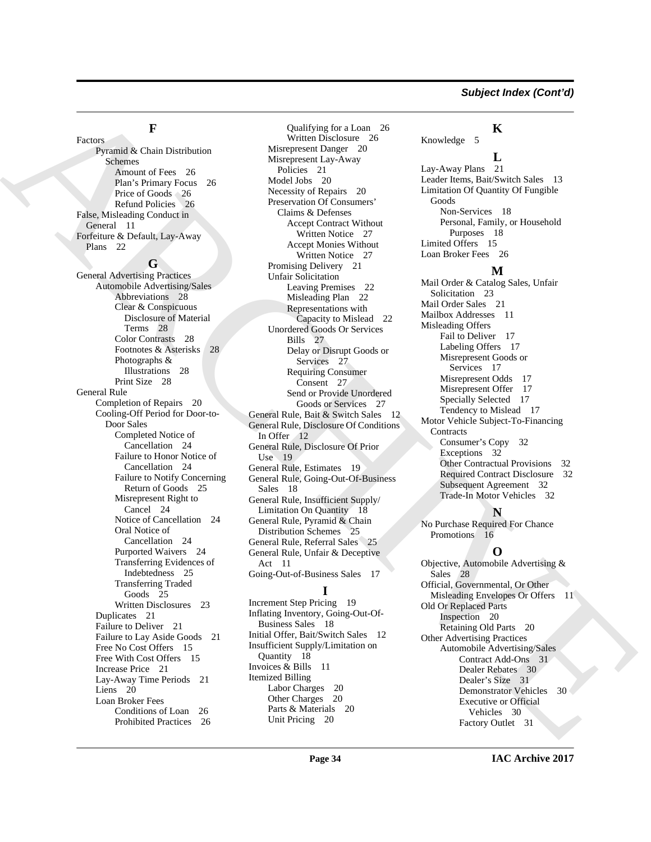### **F**

[A](#page-10-8)[R](#page-27-8)[C](#page-21-12)[H](#page-26-12)[IV](#page-15-13)[E](#page-29-3) Factors Pyramid & Chain Distribution Schemes Amount of Fees 26 Plan's Primary Focus 26 Price of Goods 26 Refund Policies 26 False, Misleading Conduct in General 11 Forfeiture & Default, Lay-Away Plans 22 **G** General Advertising Practices Automobile Advertising/Sales Abbreviations 28 Clear & Conspicuous Disclosure of Material Terms 28 Color Contrasts 28 Footnotes & Asterisks 28 Photographs & Illustrations 28 Print Size 28 General Rule Completion of Repairs 20 Cooling-Off Period for Door-to-Door Sales Completed Notice of Cancellation 24 Failure to Honor Notice of Cancellation 24 Failure to Notify Concerning Return of Goods 25 Misrepresent Right to Cancel 24 Notice of Cancellation 24 Oral Notice of Cancellation 24 Purported Waivers 24 Transferring Evidences of Indebtedness 25 Transferring Traded Goods 25 Written Disclosures 23 Duplicates 21 Failure to Deliver 21 Failure to Lay Aside Goods 21 Free No Cost Offers 15 Free With Cost Offers 15 Increase Price 21 Lay-Away Time Periods 21 Liens 20 Loan Broker Fees Conditions of Loan 26 Prohibited Practices 26

Qualifying for a Loan 26 Written Disclosure 26 Misrepresent Danger 20 Misrepresent Lay-Away Policies 21 Model Jobs 20 Necessity of Repairs 20 Preservation Of Consumers' Claims & Defenses Accept Contract Without Written Notice 27 Accept Monies Without Written Notice 27 Promising Delivery 21 Unfair Solicitation Leaving Premises 22 Misleading Plan 22 Representations with Capacity to Mislead 22 Unordered Goods Or Services Bills 27 Delay or Disrupt Goods or Services 27 Requiring Consumer Consent 27 Send or Provide Unordered Goods or Services 27 General Rule, Bait & Switch Sales 12 General Rule, Disclosure Of Conditions In Offer 12 General Rule, Disclosure Of Prior Use 19 General Rule, Estimates 19 General Rule, Going-Out-Of-Business Sales 18 General Rule, Insufficient Supply/ Limitation On Quantity 18 General Rule, Pyramid & Chain Distribution Schemes 25 General Rule, Referral Sales 25 General Rule, Unfair & Deceptive Act 11 Going-Out-of-Business Sales 17 **I**

Increment Step Pricing 19 Inflating Inventory, Going-Out-Of-Business Sales 18 Initial Offer, Bait/Switch Sales 12 Insufficient Supply/Limitation on Quantity 18 Invoices & Bills 11 Itemized Billing Labor Charges 20 Other Charges 20 Parts & Materials 20 Unit Pricing 20

### **K**

Knowledge 5

### **L**

Lay-Away Plans 21 Leader Items, Bait/Switch Sales 13 Limitation Of Quantity Of Fungible Goods Non-Services 18 Personal, Family, or Household Purposes 18 Limited Offers 15 Loan Broker Fees 26

### **M**

Mail Order & Catalog Sales, Unfair Solicitation 23 Mail Order Sales 21 Mailbox Addresses 11 Misleading Offers Fail to Deliver 17 Labeling Offers 17 Misrepresent Goods or Services 17 Misrepresent Odds 17 Misrepresent Offer 17 Specially Selected 17 Tendency to Mislead 17 Motor Vehicle Subject-To-Financing **Contracts** Consumer's Copy 32 Exceptions 32 Other Contractual Provisions 32 Required Contract Disclosure 32 Subsequent Agreement 32 Trade-In Motor Vehicles 32

# **N**

No Purchase Required For Chance Promotions 16

# **O**

Objective, Automobile Advertising & Sales 28 Official, Governmental, Or Other Misleading Envelopes Or Offers 11 Old Or Replaced Parts Inspection 20 Retaining Old Parts 20 Other Advertising Practices Automobile Advertising/Sales Contract Add-Ons 31 Dealer Rebates 30 Dealer's Size 31 Demonstrator Vehicles 30 Executive or Official Vehicles 30 Factory Outlet 31